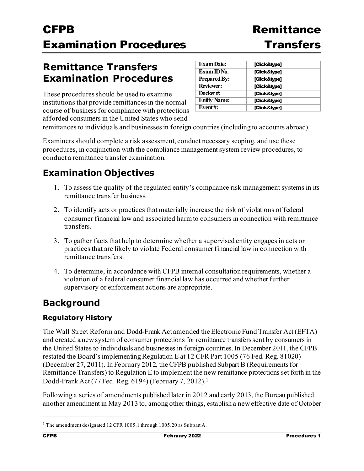## **Remittance Transfer Examination Procedures**

These procedures should be used to examine institutions that provide remittances in the normal course of business for compliance with protections afforded consumers in the United States who send

| <b>Exam Date:</b>   | [Click&type] |
|---------------------|--------------|
| Exam ID No.         | [Click&type] |
| <b>Prepared By:</b> | [Click&type] |
| <b>Reviewer:</b>    | [Click&type] |
| Docket#:            | [Click&type] |
| <b>Entity Name:</b> | [Click&type] |
| Event#:             | [Click&type] |

remittances to individuals and businesses in foreign countries (including to accounts abroad).

Examiners should complete a risk assessment, conduct necessary scoping, and use these procedures, in conjunction with the compliance management system review procedures, to conduct a remittance transfer examination.

## **Examination Objectives**

- 1. To assess the quality of the regulated entity's compliance risk management systems in its remittance transfer business.
- 2. To identify acts or practices that materially increase the risk of violations of federal consumer financial law and associated harm to consumers in connection with remittance transfers.
- 3. To gather facts that help to determine whether a supervised entity engages in acts or practices that are likely to violate Federal consumer financial law in connection with remittance transfers.
- 4. To determine, in accordance with CFPB internal consultation requirements, whether a violation of a federal consumer financial law has occurred and whether further supervisory or enforcement actions are appropriate.

## **Background**

### **Regulatory History**

The Wall Street Reform and Dodd-Frank Act amended the Electronic Fund Transfer Act (EFTA) and created a newsystem of consumer protections for remittance transfers sent by consumers in the United States to individuals and businesses in foreign countries. In December 2011, the CFPB restated the Board's implementing Regulation E at 12 CFR Part 1005 (76 Fed. Reg. 81020) (December 27, 2011). In February 2012, the CFPB published Subpart B (Requirements for Remittance Transfers) to Regulation E to implement the new remittance protections set forth in the Dodd-Frank Act (77 Fed. Reg. 6194) (February 7, 2012)[.1](#page-0-0)

Following a series of amendments published later in 2012 and early 2013, the Bureau published another amendment in May 2013 to, among other things, establish a new effective date of October

<span id="page-0-0"></span><sup>&</sup>lt;sup>1</sup> The amendment designated 12 CFR 1005.1 through 1005.20 as Subpart A.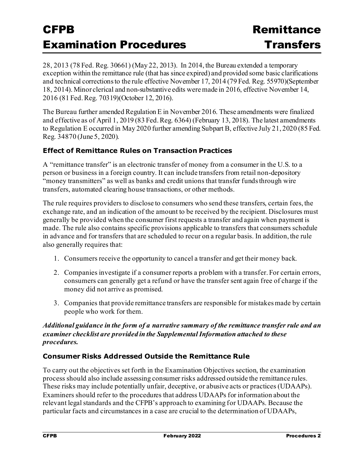28, 2013 (78 Fed. Reg. 30661) (May 22, 2013). In 2014, the Bureau extended a temporary exception within the remittance rule (that has since expired) and provided some basic clarifications and technical corrections to the rule effective November 17, 2014 (79 Fed. Reg. 55970)(September 18, 2014). Minor clerical and non-substantive edits were made in 2016, effective November 14, 2016 (81 Fed. Reg. 70319)(October 12, 2016).

The Bureau further amended Regulation E in November 2016. These amendments were finalized and effective as of April 1, 2019 (83 Fed. Reg. 6364) (February 13, 2018). The latest amendments to Regulation E occurred in May 2020 further amending Subpart B, effective July 21, 2020 (85 Fed. Reg. 34870 (June 5, 2020).

### **Effect of Remittance Rules on Transaction Practices**

A "remittance transfer" is an electronic transfer of money from a consumer in the U.S. to a person or business in a foreign country. It can include transfers from retail non-depository "money transmitters" as well as banks and credit unions that transfer funds through wire transfers, automated clearing house transactions, or other methods.

The rule requires providers to disclose to consumers who send these transfers, certain fees, the exchange rate, and an indication of the amount to be received by the recipient. Disclosures must generally be provided when the consumer first requests a transfer and again when payment is made. The rule also contains specific provisions applicable to transfers that consumers schedule in advance and for transfers that are scheduled to recur on a regular basis. In addition, the rule also generally requires that:

- 1. Consumers receive the opportunity to cancel a transfer and get their money back.
- 2. Companies investigate if a consumer reports a problem with a transfer. For certain errors, consumers can generally get a refund or have the transfer sent again free of charge if the money did not arrive as promised.
- 3. Companies that provide remittance transfers are responsible for mistakes made by certain people who work for them.

### *Additional guidance in the form of a narrative summary of the remittance transfer rule and an examiner checklist are provided in the Supplemental Information attached to these procedures.*

### **Consumer Risks Addressed Outside the Remittance Rule**

To carry out the objectives set forth in the Examination Objectives section, the examination process should also include assessing consumer risks addressed outside the remittance rules. These risks may include potentially unfair, deceptive, or abusive acts or practices (UDAAPs). Examiners should refer to the procedures that address UDAAPs for information about the relevant legal standards and the CFPB's approach to examining for UDAAPs. Because the particular facts and circumstances in a case are crucial to the determination of UDAAPs,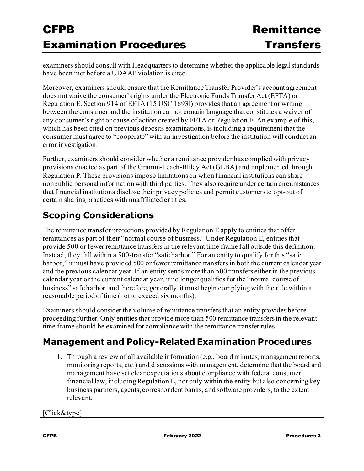examiners should consult with Headquarters to determine whether the applicable legal standards have been met before a UDAAP violation is cited.

Moreover, examiners should ensure that the Remittance Transfer Provider's account agreement does not waive the consumer's rights under the Electronic Funds Transfer Act (EFTA) or Regulation E. Section 914 of EFTA (15 USC 1693l) provides that an agreement or writing between the consumer and the institution cannot contain language that constitutes a waiver of any consumer's right or cause of action created by EFTA or Regulation E. An example of this, which has been cited on previous deposits examinations, is including a requirement that the consumer must agree to "cooperate" with an investigation before the institution will conduct an error investigation.

Further, examiners should consider whether a remittance provider has complied with privacy provisions enacted as part of the Gramm-Leach-Bliley Act (GLBA) and implemented through Regulation P. These provisions impose limitations on when financial institutions can share nonpublic personal information with third parties. They also require under certain circumstances that financial institutions disclose their privacy policies and permit customers to opt-out of certain sharing practices with unaffiliated entities.

## **Scoping Considerations**

The remittance transfer protections provided by Regulation E apply to entities that offer remittances as part of their "normal course of business." Under Regulation E, entities that provide 500 or fewer remittance transfers in the relevant time frame fall outside this definition. Instead, they fall within a 500-transfer "safe harbor." For an entity to qualify for this "safe harbor," it must have provided 500 or fewer remittance transfers in both the current calendar year and the previous calendar year. If an entity sends more than 500 transfers either in the previous calendar year or the current calendar year, it no longer qualifies for the "normal course of business" safe harbor, and therefore, generally, it must begin complying with the rule within a reasonable period of time (not to exceed six months).

Examiners should consider the volume of remittance transfers that an entity provides before proceeding further. Only entities that provide more than 500 remittance transfers in the relevant time frame should be examined for compliance with the remittance transfer rules.

## **Management and Policy-Related Examination Procedures**

1. Through a review of all available information (e.g., board minutes, management reports, monitoring reports, etc.) and discussions with management, determine that the board and management have set clear expectations about compliance with federal consumer financial law, including Regulation E, not only within the entity but also concerning key business partners, agents, correspondent banks, and software providers, to the extent relevant.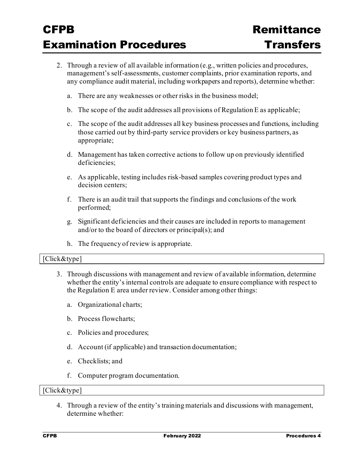- 2. Through a review of all available information (e.g., written policies and procedures, management's self-assessments, customer complaints, prior examination reports, and any compliance audit material, including workpapers and reports), determine whether:
	- a. There are any weaknesses or other risks in the business model;
	- b. The scope of the audit addresses all provisions of Regulation E as applicable;
	- c. The scope of the audit addresses all key business processes and functions, including those carried out by third-party service providers or key business partners, as appropriate;
	- d. Management has taken corrective actions to follow up on previously identified deficiencies;
	- e. As applicable, testing includes risk-based samples covering product types and decision centers;
	- f. There is an audit trail that supports the findings and conclusions of the work performed;
	- g. Significant deficiencies and their causes are included in reports to management and/or to the board of directors or principal(s); and
	- h. The frequency of review is appropriate.

### [Click&type]

- 3. Through discussions with management and review of available information, determine whether the entity's internal controls are adequate to ensure compliance with respect to the Regulation E area under review. Consider among other things:
	- a. Organizational charts;
	- b. Process flowcharts;
	- c. Policies and procedures;
	- d. Account (if applicable) and transaction documentation;
	- e. Checklists; and
	- f. Computer program documentation.

#### [Click&type]

4. Through a review of the entity's training materials and discussions with management, determine whether: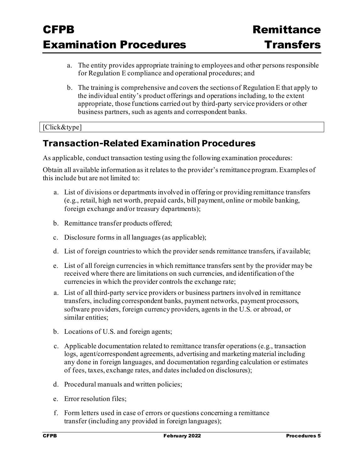- a. The entity provides appropriate training to employees and other persons responsible for Regulation E compliance and operational procedures; and
- b. The training is comprehensive and covers the sections of Regulation E that apply to the individual entity's product offerings and operations including, to the extent appropriate, those functions carried out by third-party service providers or other business partners, such as agents and correspondent banks.

### [Click&type]

## **Transaction-Related Examination Procedures**

As applicable, conduct transaction testing using the following examination procedures:

Obtain all available information as it relates to the provider's remittance program. Examples of this include but are not limited to:

- a. List of divisions or departments involved in offering or providing remittance transfers (e.g., retail, high net worth, prepaid cards, bill payment, online or mobile banking, foreign exchange and/or treasury departments);
- b. Remittance transfer products offered;
- c. Disclosure forms in all languages (as applicable);
- d. List of foreign countries to which the provider sends remittance transfers, if available;
- e. List of all foreign currencies in which remittance transfers sent by the provider may be received where there are limitations on such currencies, and identification of the currencies in which the provider controls the exchange rate;
- a. List of all third-party service providers or business partners involved in remittance transfers, including correspondent banks, payment networks, payment processors, software providers, foreign currency providers, agents in the U.S. or abroad, or similar entities;
- b. Locations of U.S. and foreign agents;
- c. Applicable documentation related to remittance transfer operations (e.g., transaction logs, agent/correspondent agreements, advertising and marketing material including any done in foreign languages, and documentation regarding calculation or estimates of fees, taxes, exchange rates, and dates included on disclosures);
- d. Procedural manuals and written policies;
- e. Error resolution files;
- f. Form letters used in case of errors or questions concerning a remittance transfer (including any provided in foreign languages);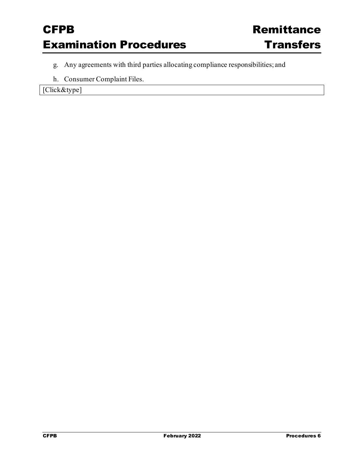- g. Any agreements with third parties allocating compliance responsibilities; and
- h. Consumer Complaint Files.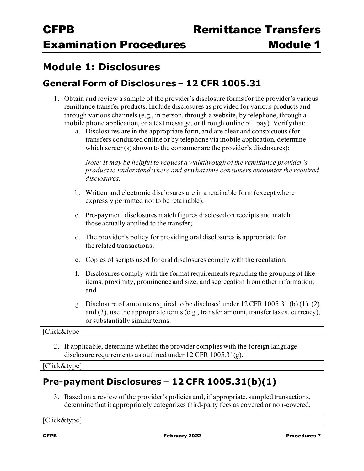## **Module 1: Disclosures**

### **General Form of Disclosures – 12 CFR 1005.31**

- 1. Obtain and review a sample of the provider's disclosure forms for the provider's various remittance transfer products. Include disclosures as provided for various products and through various channels (e.g., in person, through a website, by telephone, through a mobile phone application, or a text message, or through online bill pay). Verifythat:
	- a. Disclosures are in the appropriate form, and are clear and conspicuous (for transfers conducted online or by telephone via mobile application, determine which screen(s) shown to the consumer are the provider's disclosures);

*Note: It may be helpful to request a walkthrough of the remittance provider's product to understand where and at what time consumers encounter the required disclosures.*

- b. Written and electronic disclosures are in a retainable form (except where expressly permitted not to be retainable);
- c. Pre-payment disclosures match figures disclosed on receipts and match those actually applied to the transfer;
- d. The provider's policy for providing oral disclosures is appropriate for the related transactions;
- e. Copies of scripts used for oral disclosures comply with the regulation;
- f. Disclosures comply with the format requirements regarding the grouping of like items, proximity, prominence and size, and segregation from other information; and
- g. Disclosure of amounts required to be disclosed under 12 CFR 1005.31 (b) (1), (2), and (3), use the appropriate terms (e.g., transfer amount, transfer taxes, currency), or substantially similar terms.

[Click&type]

2. If applicable, determine whether the provider complies with the foreign language disclosure requirements as outlined under 12 CFR  $1005.31(g)$ .

[Click&type]

### **Pre-payment Disclosures – 12 CFR 1005.31(b)(1)**

3. Based on a review of the provider's policies and, if appropriate, sampled transactions, determine that it appropriately categorizes third-party fees as covered or non-covered.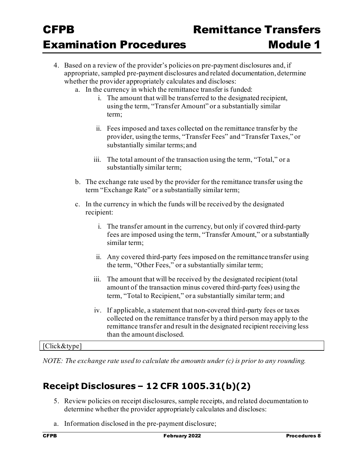- 4. Based on a review of the provider's policies on pre-payment disclosures and, if appropriate, sampled pre-payment disclosures and related documentation, determine whether the provider appropriately calculates and discloses:
	- a. In the currency in which the remittance transfer is funded:
		- i. The amount that will be transferred to the designated recipient, using the term, "Transfer Amount" or a substantially similar term;
		- ii. Fees imposed and taxes collected on the remittance transfer by the provider, usingthe terms, "Transfer Fees" and "Transfer Taxes," or substantially similar terms; and
		- iii. The total amount of the transaction using the term, "Total," or a substantially similar term;
	- b. The exchange rate used by the provider for the remittance transfer using the term "Exchange Rate" or a substantially similar term;
	- c. In the currency in which the funds will be received by the designated recipient:
		- i. The transfer amount in the currency, but only if covered third-party fees are imposed using the term, "Transfer Amount," or a substantially similar term;
		- ii. Any covered third-party fees imposed on the remittance transfer using the term, "Other Fees," or a substantially similar term;
		- iii. The amount that will be received by the designated recipient (total amount of the transaction minus covered third-party fees) using the term, "Total to Recipient," or a substantially similar term; and
		- iv. If applicable, a statement that non-covered third-party fees or taxes collected on the remittance transfer by a third person may apply to the remittance transfer and result in the designated recipient receiving less than the amount disclosed.

[Click&type]

*NOTE: The exchange rate used to calculate the amounts under (c) is prior to any rounding.*

## **Receipt Disclosures – 12 CFR 1005.31(b)(2)**

- 5. Review policies on receipt disclosures, sample receipts, and related documentation to determine whether the provider appropriately calculates and discloses:
- a. Information disclosed in the pre-payment disclosure;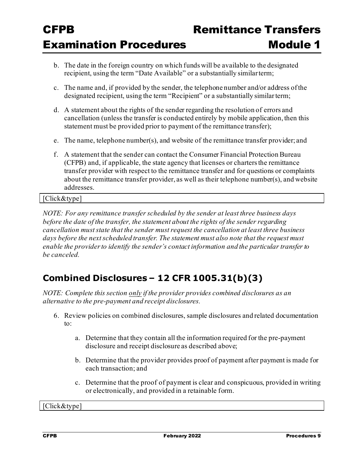- b. The date in the foreign country on which funds will be available to the designated recipient, using the term "Date Available" or a substantially similarterm;
- c. The name and, if provided by the sender, the telephone number and/or address ofthe designated recipient, using the term "Recipient" or a substantially similarterm;
- d. A statement about the rights of the sender regarding the resolution of errors and cancellation (unless the transfer is conducted entirely by mobile application, then this statement must be provided prior to payment of the remittance transfer);
- e. The name, telephone number(s), and website of the remittance transfer provider; and
- f. A statement that the sender can contact the Consumer Financial Protection Bureau (CFPB) and, if applicable, the state agency that licenses or charters the remittance transfer provider with respect to the remittance transfer and for questions or complaints about the remittance transfer provider, as well as their telephone number(s), and website addresses.

[Click&type]

*NOTE: For any remittance transfer scheduled by the sender at least three business days before the date of the transfer, the statement about the rights of the sender regarding cancellation must state that the sender must request the cancellation at least three business days before the next scheduled transfer. The statement must also note that the request must enable the provider to identify the sender's contact information and the particular transfer to be canceled.* 

## **Combined Disclosures – 12 CFR 1005.31(b)(3)**

*NOTE: Complete this section only if the provider provides combined disclosures as an alternative to the pre-payment and receipt disclosures.*

- 6. Review policies on combined disclosures, sample disclosures and related documentation to:
	- a. Determine that they contain all the information required for the pre-payment disclosure and receipt disclosure as described above;
	- b. Determine that the provider provides proof of payment after payment is made for each transaction; and
	- c. Determine that the proof of payment is clear and conspicuous, provided in writing or electronically, and provided in a retainable form.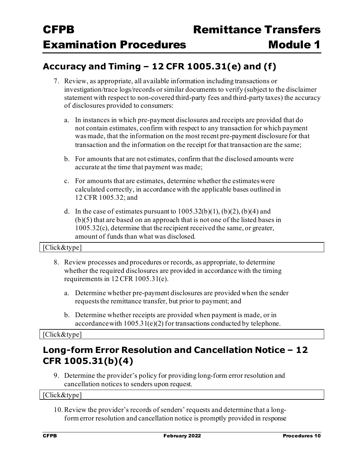## **Accuracy and Timing – 12 CFR 1005.31(e) and (f)**

- 7. Review, as appropriate, all available information including transactions or investigation/trace logs/records or similar documents to verify (subject to the disclaimer statement with respect to non-covered third-party fees and third-party taxes) the accuracy of disclosures provided to consumers:
	- a. In instances in which pre-payment disclosures and receipts are provided that do not contain estimates, confirm with respect to any transaction for which payment wasmade, that the information on the most recent pre-payment disclosure for that transaction and the information on the receipt for that transaction are the same;
	- b. For amounts that are not estimates, confirm that the disclosed amounts were accurate at the time that payment was made;
	- c. For amounts that are estimates, determine whether the estimates were calculated correctly, in accordance with the applicable bases outlined in 12 CFR 1005.32; and
	- d. In the case of estimates pursuant to  $1005.32(b)(1)$ ,  $(b)(2)$ ,  $(b)(4)$  and (b)(5) that are based on an approach that is not one of the listed bases in 1005.32(c), determine that the recipient received the same, or greater, amount of funds than what was disclosed.

### [Click&type]

- 8. Review processes and procedures or records, as appropriate, to determine whether the required disclosures are provided in accordance with the timing requirements in 12 CFR 1005.31(e).
	- a. Determine whether pre-payment disclosures are provided when the sender requests the remittance transfer, but prior to payment; and
	- b. Determine whether receipts are provided when payment is made, or in accordancewith 1005.31(e)(2) for transactions conducted by telephone.

#### [Click&type]

### **Long-form Error Resolution and Cancellation Notice – 12 CFR 1005.31(b)(4)**

9. Determine the provider's policy for providing long-form error resolution and cancellation notices to senders upon request.

[Click&type]

10.Review the provider's records of senders' requests and determine that a longform error resolution and cancellation notice is promptly provided in response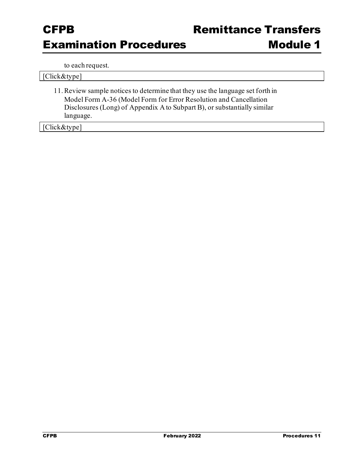Module 1

to each request.

| [Click&type]                                                                   |
|--------------------------------------------------------------------------------|
| 11. Review sample notices to determine that they use the language set forth in |
| Model Form A-36 (Model Form for Error Resolution and Cancellation              |
| Disclosures (Long) of Appendix A to Subpart B), or substantially similar       |
| language.                                                                      |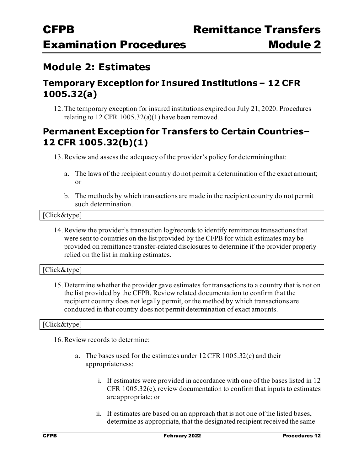## **Module 2: Estimates**

### **Temporary Exception for Insured Institutions – 12 CFR 1005.32(a)**

12.The temporary exception for insured institutions expired on July 21, 2020. Procedures relating to 12 CFR  $1005.32(a)(1)$  have been removed.

### **Permanent Exception for Transfers to Certain Countries– 12 CFR 1005.32(b)(1)**

13.Review and assess the adequacy of the provider's policy for determiningthat:

- a. The laws of the recipient country do not permit a determination of the exact amount; or
- b. The methods by which transactions are made in the recipient country do not permit such determination.

#### [Click&type]

14.Review the provider's transaction log/records to identify remittance transactions that were sent to countries on the list provided by the CFPB for which estimates may be provided on remittance transfer-related disclosures to determine if the provider properly relied on the list in making estimates.

### [Click&type]

15. Determine whether the provider gave estimates for transactions to a country that is not on the list provided by the CFPB. Review related documentation to confirm that the recipient country does not legally permit, or the method by which transactions are conducted in that country does not permit determination of exact amounts.

### [Click&type]

16.Review records to determine:

- a. The bases used for the estimates under 12 CFR 1005.32(c) and their appropriateness:
	- i. If estimates were provided in accordance with one of the bases listed in 12 CFR 1005.32(c), review documentation to confirm that inputs to estimates are appropriate; or
	- ii. If estimates are based on an approach that is not one of the listed bases, determine as appropriate, that the designated recipient received the same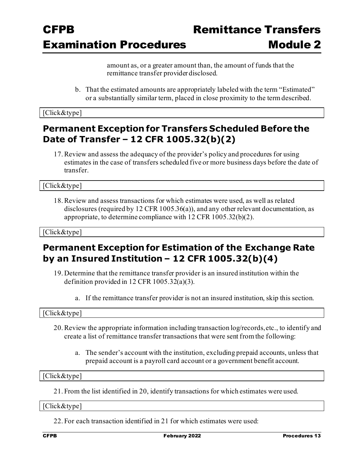amount as, or a greater amount than, the amount of funds that the remittance transfer provider disclosed.

b. That the estimated amounts are appropriately labeled with the term "Estimated" or a substantially similar term, placed in close proximity to the termdescribed.

[Click&type]

### **Permanent Exception for Transfers Scheduled Before the Date of Transfer – 12 CFR 1005.32(b)(2)**

17.Review and assess the adequacy of the provider's policy and procedures for using estimates in the case of transfers scheduled five or more business days before the date of transfer.

[Click&type]

18.Review and assess transactions for which estimates were used, as well as related disclosures (required by 12 CFR 1005.36(a)), and any other relevant documentation, as appropriate, to determine compliance with 12 CFR 1005.32(b)(2).

[Click&type]

### **Permanent Exception for Estimation of the Exchange Rate by an Insured Institution – 12 CFR 1005.32(b)(4)**

- 19. Determine that the remittance transfer provider is an insured institution within the definition provided in 12 CFR 1005.32(a)(3).
	- a. If the remittance transfer provider is not an insured institution, skip this section.

[Click&type]

- 20.Review the appropriate information including transaction log/records,etc., to identify and create a list of remittance transfer transactions that were sent from the following:
	- a. The sender's account with the institution, excluding prepaid accounts, unless that prepaid account is a payroll card account or a government benefit account.

[Click&type]

21. From the list identified in 20, identify transactions for which estimates were used.

[Click&type]

22. For each transaction identified in 21 for which estimates were used: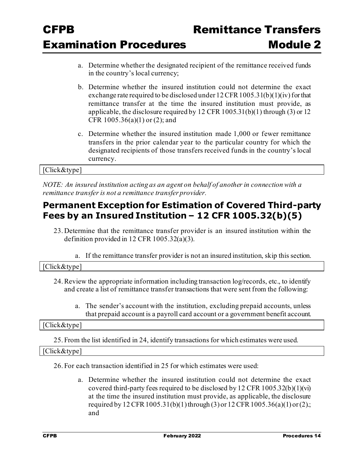- a. Determine whether the designated recipient of the remittance received funds in the country's local currency;
- b. Determine whether the insured institution could not determine the exact exchange rate required to be disclosed under 12 CFR 1005.31(b)(1)(iv) for that remittance transfer at the time the insured institution must provide, as applicable, the disclosure required by 12 CFR 1005.31(b)(1) through (3) or 12 CFR 1005.36(a)(1) or (2); and
- c. Determine whether the insured institution made 1,000 or fewer remittance transfers in the prior calendar year to the particular country for which the designated recipients of those transfers received funds in the country's local currency.

### [Click&type]

*NOTE: An insured institution acting as an agent on behalf of another in connection with a remittance transfer is not a remittance transfer provider.*

### **Permanent Exception for Estimation of Covered Third-party Fees by an Insured Institution – 12 CFR 1005.32(b)(5)**

- 23. Determine that the remittance transfer provider is an insured institution within the definition provided in 12 CFR 1005.32(a)(3).
	- a. If the remittance transfer provider is not an insured institution, skip this section.

### [Click&type]

- 24.Review the appropriate information including transaction log/records, etc., to identify and create a list of remittance transfer transactions that were sent from the following:
	- a. The sender's account with the institution, excluding prepaid accounts, unless that prepaid account is a payroll card account or a government benefit account.

#### [Click&type]

25. From the list identified in 24, identify transactions for which estimates were used.

#### [Click&type]

26. For each transaction identified in 25 for which estimates were used:

a. Determine whether the insured institution could not determine the exact covered third-party fees required to be disclosed by 12 CFR  $1005.32(b)(1)(vi)$ at the time the insured institution must provide, as applicable, the disclosure required by 12 CFR 1005.31(b)(1) through (3) or 12 CFR 1005.36(a)(1) or (2).; and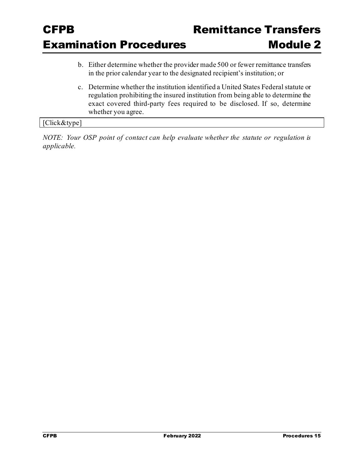- b. Either determine whether the provider made 500 or fewer remittance transfers in the prior calendar year to the designated recipient's institution; or
- c. Determine whether the institution identified a United States Federal statute or regulation prohibiting the insured institution from being able to determine the exact covered third-party fees required to be disclosed. If so, determine whether you agree.

### [Click&type]

*NOTE: Your OSP point of contact can help evaluate whether the statute or regulation is applicable.*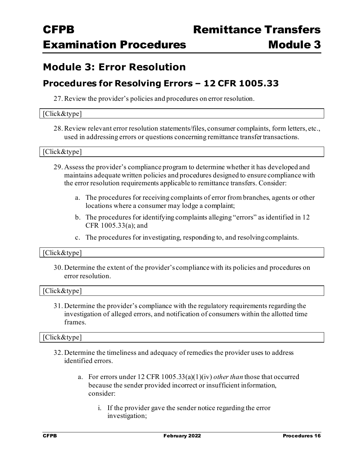### **Module 3: Error Resolution**

### **Procedures for Resolving Errors – 12 CFR 1005.33**

27.Review the provider's policies and procedures on error resolution.

#### [Click&type]

28.Review relevant error resolution statements/files, consumer complaints, form letters, etc., used in addressing errors or questions concerning remittance transfer transactions.

#### [Click&type]

- 29. Assess the provider's compliance program to determine whether it has developed and maintains adequate written policies and procedures designed to ensure compliance with the error resolution requirements applicable to remittance transfers. Consider:
	- a. The procedures for receiving complaints of error from branches, agents or other locations where a consumer may lodge a complaint;
	- b. The procedures for identifying complaints alleging "errors" as identified in 12 CFR 1005.33(a); and
	- c. The procedures for investigating, responding to, and resolvingcomplaints.

### [Click&type]

30. Determine the extent of the provider's compliance with its policies and procedures on error resolution.

#### [Click&type]

31. Determine the provider's compliance with the regulatory requirements regarding the investigation of alleged errors, and notification of consumers within the allotted time frames.

- 32. Determine the timeliness and adequacy of remedies the provider uses to address identified errors.
	- a. For errors under 12 CFR 1005.33(a)(1)(iv) *other than* those that occurred because the sender provided incorrect or insufficient information, consider:
		- i. If the provider gave the sender notice regarding the error investigation;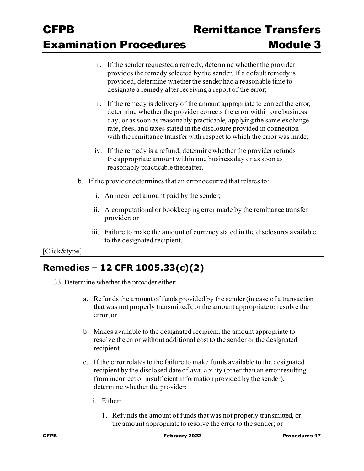- ii. If the sender requested a remedy, determine whether the provider provides the remedy selected by the sender. If a default remedy is provided, determine whether the sender had a reasonable time to designate a remedy after receiving a report of the error;
- iii. If the remedy is delivery of the amount appropriate to correct the error, determine whether the provider corrects the error within one business day, or as soon as reasonably practicable, applying the same exchange rate, fees, and taxes stated in the disclosure provided in connection with the remittance transfer with respect to which the error was made;
- iv. If the remedy is a refund, determine whether the provider refunds the appropriate amount within one business day or as soon as reasonably practicable thereafter.
- b. If the provider determines that an error occurred that relates to:
	- i. An incorrect amount paid by the sender;
	- ii. A computational or bookkeeping error made by the remittance transfer provider;or
	- iii. Failure to make the amount of currency stated in the disclosures available to the designated recipient.

### [Click&type]

## **Remedies – 12 CFR 1005.33(c)(2)**

- 33. Determine whether the provider either:
	- a. Refunds the amount of funds provided by the sender (in case of a transaction that was not properly transmitted), or the amount appropriate to resolve the error; or
	- b. Makes available to the designated recipient, the amount appropriate to resolve the error without additional cost to the sender or the designated recipient.
	- c. If the error relates to the failure to make funds available to the designated recipient by the disclosed date of availability (other than an error resulting from incorrect or insufficient information provided by the sender), determine whether the provider:
		- i. Either:
			- 1. Refunds the amount of funds that was not properly transmitted, or the amount appropriate to resolve the error to the sender; or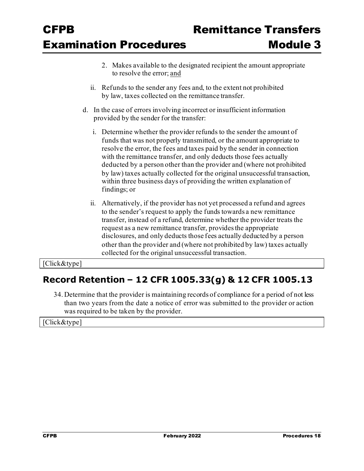- 2. Makes available to the designated recipient the amount appropriate to resolve the error; and
- ii. Refunds to the sender any fees and, to the extent not prohibited by law, taxes collected on the remittance transfer.
- d. In the case of errors involving incorrect or insufficient information provided by the sender for the transfer:
	- i. Determine whether the provider refunds to the sender the amount of funds that was not properly transmitted, or the amount appropriate to resolve the error, the fees and taxes paid by the sender in connection with the remittance transfer, and only deducts those fees actually deducted by a person other than the provider and (where not prohibited by law) taxes actually collected for the original unsuccessful transaction, within three business days of providing the written explanation of findings; or
	- ii. Alternatively, if the provider has not yet processed a refund and agrees to the sender's request to apply the funds towards a new remittance transfer, instead of a refund, determine whether the provider treats the request as a new remittance transfer, provides the appropriate disclosures, and only deducts those fees actually deducted by a person other than the provider and (where not prohibited by law) taxes actually collected for the original unsuccessful transaction.

### [Click&type]

### **Record Retention – 12 CFR 1005.33(g) & 12 CFR 1005.13**

34. Determine that the provider is maintaining records of compliance for a period of not less than two years from the date a notice of error was submitted to the provider or action was required to be taken by the provider.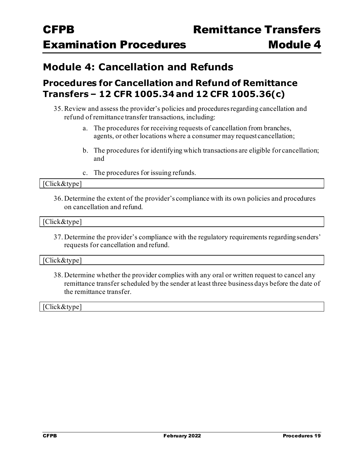## **Module 4: Cancellation and Refunds**

### **Procedures for Cancellation and Refund of Remittance Transfers – 12 CFR 1005.34 and 12 CFR 1005.36(c)**

- 35.Review and assess the provider's policies and procedures regarding cancellation and refund of remittance transfer transactions, including:
	- a. The procedures for receiving requests of cancellation from branches, agents, or other locations where a consumer may request cancellation;
	- b. The procedures for identifying which transactions are eligible for cancellation; and
	- c. The procedures for issuing refunds.

#### [Click&type]

36. Determine the extent of the provider's compliance with its own policies and procedures on cancellation and refund.

#### [Click&type]

37. Determine the provider's compliance with the regulatory requirements regarding senders' requests for cancellation and refund.

#### [Click&type]

38. Determine whether the provider complies with any oral or written request to cancel any remittance transfer scheduled by the sender at least three business days before the date of the remittance transfer.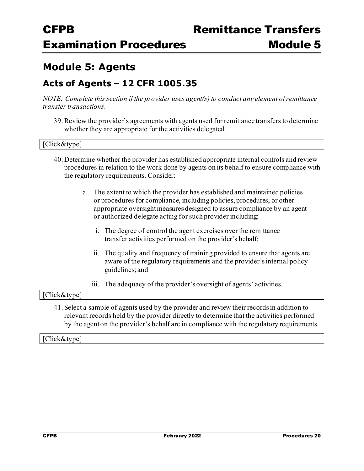## **Module 5: Agents**

### **Acts of Agents – 12 CFR 1005.35**

*NOTE: Complete this section if the provider uses agent(s) to conduct any element of remittance transfer transactions.*

39.Review the provider's agreements with agents used for remittance transfers to determine whether they are appropriate for the activities delegated.

#### [Click&type]

- 40. Determine whether the provider has established appropriate internal controls and review procedures in relation to the work done by agents on its behalf to ensure compliance with the regulatory requirements. Consider:
	- a. The extent to which the provider has established and maintained policies or procedures for compliance, including policies, procedures, or other appropriate oversightmeasures designed to assure compliance by an agent or authorized delegate acting for such provider including:
		- i. The degree of control the agent exercises over the remittance transfer activities performed on the provider's behalf;
		- ii. The quality and frequency of training provided to ensure that agents are aware of the regulatory requirements and the provider's internal policy guidelines; and
		- iii. The adequacy of the provider's oversight of agents' activities.

#### [Click&type]

41. Select a sample of agents used by the provider and review their records in addition to relevant records held by the provider directly to determine that the activities performed by the agenton the provider's behalf are in compliance with the regulatory requirements.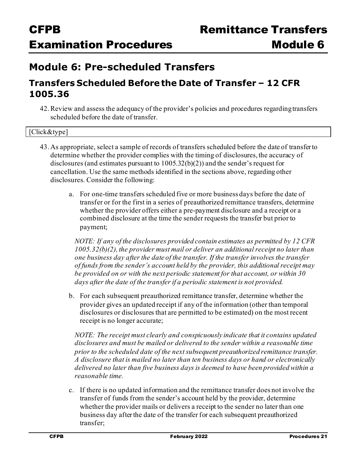## **Module 6: Pre-scheduled Transfers**

### **Transfers Scheduled Before the Date of Transfer – 12 CFR 1005.36**

42.Review and assess the adequacy of the provider's policies and procedures regarding transfers scheduled before the date of transfer.

| [Click&type] |  |
|--------------|--|
|              |  |

- 43. As appropriate, select a sample of records of transfers scheduled before the date of transferto determine whether the provider complies with the timing of disclosures, the accuracy of disclosures (and estimates pursuant to 1005.32(b)(2)) and the sender's request for cancellation. Use the same methods identified in the sections above, regarding other disclosures. Consider the following:
	- a. For one-time transfers scheduled five or more business days before the date of transfer or for the first in a series of preauthorized remittance transfers, determine whether the provider offers either a pre-payment disclosure and a receipt or a combined disclosure at the time the sender requests the transfer but prior to payment;

*NOTE: If any of the disclosures provided contain estimates as permitted by 12 CFR 1005.32(b)(2), the provider must mail or deliver an additional receipt no later than one business day after the date of the transfer. If the transfer involves the transfer of funds from the sender's account held by the provider, this additional receipt may be provided on or with the next periodic statement for that account, or within 30 days after the date of the transfer if a periodic statement is not provided.*

b. For each subsequent preauthorized remittance transfer, determine whether the provider gives an updated receipt if any of the information (other than temporal disclosures or disclosures that are permitted to be estimated) on the most recent receipt is no longer accurate;

*NOTE: The receipt must clearly and conspicuously indicate that it contains updated disclosures and must be mailed or delivered to the sender within a reasonable time prior to the scheduled date of the next subsequent preauthorized remittance transfer. A disclosure that is mailed no later than ten business days or hand or electronically delivered no later than five business days is deemed to have been provided within a reasonable time.*

c. If there is no updated information and the remittance transfer does not involve the transfer of funds from the sender's account held by the provider, determine whether the provider mails or delivers a receipt to the sender no later than one business day afterthe date of the transfer for each subsequent preauthorized transfer;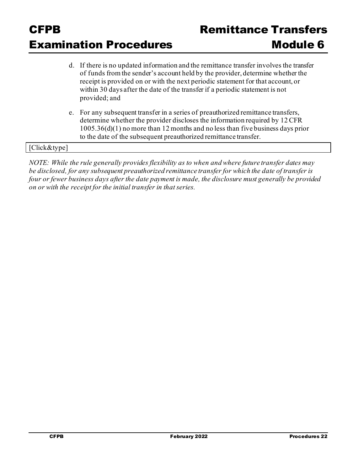# CFPB Remittance Transfer **Examination Procedures Module 6**

- d. If there is no updated information and the remittance transfer involves the transfer of funds from the sender's account held by the provider, determine whether the receipt is provided on or with the next periodic statement for that account, or within 30 days after the date of the transfer if a periodic statement is not provided; and
- e. For any subsequent transfer in a series of preauthorized remittance transfers, determine whether the provider discloses the information required by 12 CFR 1005.36(d)(1) no more than 12 months and no less than five business days prior to the date of the subsequent preauthorized remittance transfer.

### [Click&type]

*NOTE: While the rule generally provides flexibility as to when and where future transfer dates may be disclosed, for any subsequent preauthorized remittance transfer for which the date of transfer is four or fewer business days after the date payment is made, the disclosure must generally be provided on or with the receipt for the initial transfer in that series.*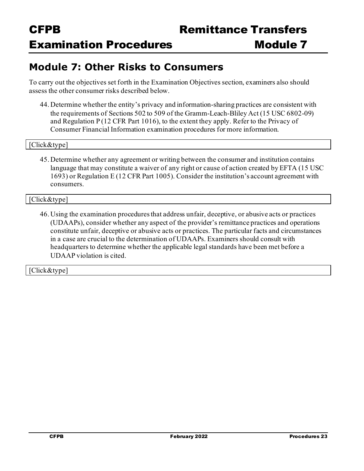## **Module 7: Other Risks to Consumers**

To carry out the objectives set forth in the Examination Objectives section, examiners also should assess the other consumer risks described below.

44. Determine whether the entity's privacy and information-sharing practices are consistent with the requirements of Sections 502 to 509 of the Gramm-Leach-Bliley Act (15 USC 6802-09) and Regulation P (12 CFR Part 1016), to the extent they apply. Refer to the Privacy of Consumer Financial Information examination procedures for more information.

#### [Click&type]

45. Determine whether any agreement or writing between the consumer and institution contains language that may constitute a waiver of any right or cause of action created by EFTA (15 USC) 1693) or Regulation E (12 CFR Part 1005). Consider the institution's account agreement with consumers.

#### [Click&type]

46. Using the examination procedures that address unfair, deceptive, or abusive acts or practices (UDAAPs), consider whether any aspect of the provider's remittance practices and operations constitute unfair, deceptive or abusive acts or practices. The particular facts and circumstances in a case are crucial to the determination of UDAAPs. Examiners should consult with headquarters to determine whether the applicable legal standards have been met before a UDAAP violation is cited.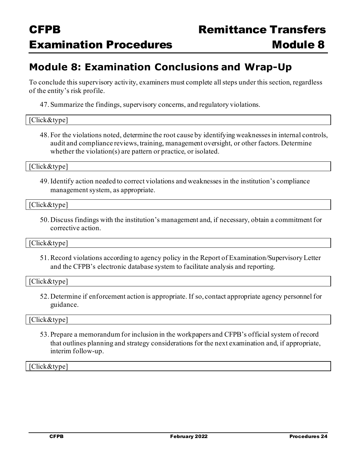## **Module 8: Examination Conclusions and Wrap-Up**

To conclude this supervisory activity, examiners must complete all steps under this section, regardless of the entity's risk profile.

47. Summarize the findings, supervisory concerns, and regulatory violations.

#### [Click&type]

48. For the violations noted, determine the root cause by identifying weaknesses in internal controls, audit and compliance reviews, training, management oversight, or other factors. Determine whether the violation(s) are pattern or practice, or isolated.

[Click&type]

49.Identify action needed to correct violations and weaknesses in the institution's compliance management system, as appropriate.

[Click&type]

50. Discuss findings with the institution's management and, if necessary, obtain a commitment for corrective action.

Click&type]

51.Record violations according to agency policy in the Report of Examination/Supervisory Letter and the CFPB's electronic database system to facilitate analysis and reporting.

#### [Click&type]

52. Determine if enforcement action is appropriate. If so, contact appropriate agency personnel for guidance.

#### [Click&type]

53. Prepare a memorandum for inclusion in the workpapers and CFPB's official system of record that outlines planning and strategy considerations for the next examination and, if appropriate, interim follow-up.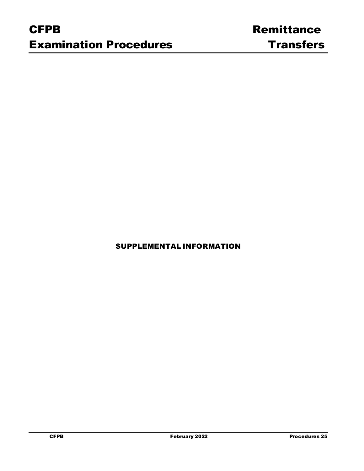SUPPLEMENTAL INFORMATION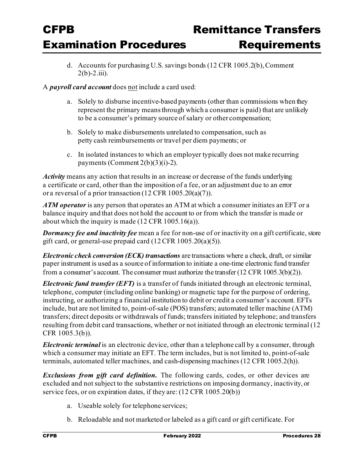### Remittance Transfer **Examination Procedures**

These procedures should be used to examine institutions that provide remittances in the normal course of business for compliance with protections afforded consumers in the United States who sed

| <b>Exam Date:</b>   | [Click&type] |
|---------------------|--------------|
| Exam IDNo.          | [Click&type] |
| <b>Prepared By:</b> | [Click&type] |
| <b>Reviewer:</b>    | [Click&type] |
| Docket#:            | [Click&type] |
| <b>Entity Name:</b> | [Click&type] |
| Event#:             | [Click&type] |

remittances to individuals and businesses in foreign countries (including to accounts abroad).

Examiners should complete a risk assessment, conduct necessary scoping, and use these procedures, in conunction with the compliance managment system review procedures, to conduct a remittance transfer examination.

### **Examination Objectives**

- To assess the uality of the regulated entitys compliance risk management systems in its remittance transfer business.
- To identify acts or practices that materially increaselte risk of violations of federal  $\ddot{\phantom{0}}$ consumer financial law and associated harm to consumers in connection with remittance transfers.
- To gather facts that help to determine whether a supervised entity engages in acts or practices that are likely to violate Fedral consumer financial law in connection with remittance transfers.
- To determine, in accordance with CFP internal consultation reulrements, whether a violation of a federal consumer financial law has occurred and whether further supervisory or enforcement actions are appropriate.

### Background

Regulatory History

The all Street Reform and Dodd-FrankAct amended the Electronic Fund TransferAct (EFTA) and created a new system of consumer protectionsfor remittance transfers sent by consumerin the United States to individuals and businesses inforeign countries. In December, the CFP restated the oards implementing Regulation E at CFR Part ( Fed.Reg.) the CFP published Subpart (December, ). In Febru ary, (Reuirements fo r Remittance Transfers) to Regulation E to implement the new remittance protections set forth in the Dodd-Frank Act (Fed. Reg. ) (February, ).

Following a series of amendments published later in and early, the ureau published a new effective date of October another amendmentin May to, among other things, establish

The amendment designated CFR . through . as Subpart  $\boldsymbol{A}$ .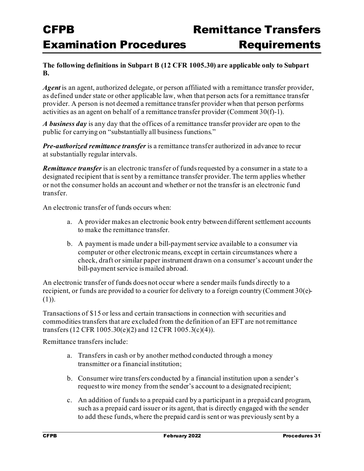### **The following definitions in Subpart B (12 CFR 1005.30) are applicable only to Subpart B.**

*Agent* is an agent, authorized delegate, or person affiliated with a remittance transfer provider, as defined under state or other applicable law, when that person acts for a remittance transfer provider. A person is not deemed a remittance transfer provider when that person performs activities as an agent on behalf of a remittance transfer provider (Comment 30(f)-1).

*A business day* is any day that the offices of a remittance transfer provider are open to the public for carrying on "substantially all business functions."

*Pre-authorized remittance transfer* is a remittance transfer authorized in advance to recur at substantially regular intervals.

*Remittance transfer* is an electronic transfer of funds requested by a consumer in a state to a designated recipient that is sent by a remittance transfer provider. The term applies whether or not the consumer holds an account and whether or not the transfer is an electronic fund transfer.

An electronic transfer of funds occurs when:

- a. A provider makes an electronic book entry between different settlement accounts to make the remittance transfer.
- b. A payment is made under a bill-payment service available to a consumer via computer or other electronic means, except in certain circumstances where a check, draft or similar paper instrument drawn on a consumer's account under the bill-payment service ismailed abroad.

An electronic transfer of funds does not occur where a sender mails funds directly to a recipient, or funds are provided to a courier for delivery to a foreign country (Comment 30(e)- (1)).

Transactions of \$15 or less and certain transactions in connection with securities and commodities transfers that are excluded from the definition of an EFT are not remittance transfers (12 CFR 1005.30(e)(2) and 12 CFR 1005.3(c)(4)).

Remittance transfers include:

- a. Transfers in cash or by another method conducted through a money transmitter or a financial institution;
- b. Consumer wire transfers conducted by a financial institution upon a sender's requestto wire money from the sender's account to a designated recipient;
- c. An addition of funds to a prepaid card by a participant in a prepaid card program, such as a prepaid card issuer or its agent, that is directly engaged with the sender to add these funds, where the prepaid card is sent or was previously sent by a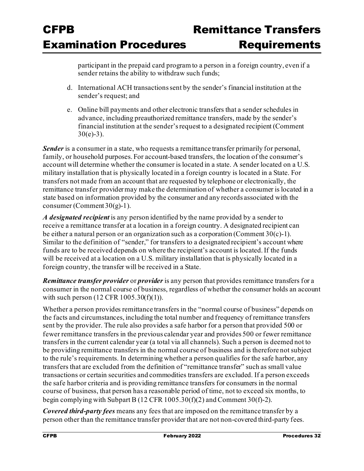participant in the prepaid card program to a person in a foreign country, even if a sender retains the ability to withdraw such funds;

- d. International ACH transactions sent by the sender's financial institution at the sender's request; and
- e. Online bill payments and other electronic transfers that a sender schedules in advance, including preauthorized remittance transfers, made by the sender's financial institution at the sender's request to a designated recipient (Comment  $30(e)-3$ ).

*Sender* is a consumer in a state, who requests a remittance transfer primarily for personal, family, or household purposes. For account-based transfers, the location of the consumer's account will determine whether the consumer is located in a state. A sender located on a U.S. military installation that is physically located in a foreign country is located in a State. For transfers not made from an account that are requested by telephone or electronically, the remittance transfer providermay make the determination of whether a consumer is located in a state based on information provided by the consumer and any records associated with the consumer (Comment  $30(g)$ -1).

*A designated recipient* is any person identified by the name provided by a sender to receive a remittance transfer at a location in a foreign country. A designated recipient can be either a natural person or an organization such as a corporation (Comment 30(c)-1). Similar to the definition of "sender," for transfers to a designated recipient's account where funds are to be received depends on where the recipient's account is located. If the funds will be received at a location on a U.S. military installation that is physically located in a foreign country, the transfer will be received in a State.

*Remittance transfer provider* or *provider* is any person that provides remittance transfers for a consumer in the normal course of business, regardless of whether the consumer holds an account with such person  $(12 \text{ CFR } 1005.30(f)(1)).$ 

Whether a person provides remittance transfers in the "normal course of business" depends on the facts and circumstances, including the total number and frequency of remittance transfers sent by the provider. The rule also provides a safe harbor for a person that provided 500 or fewer remittance transfers in the previous calendar year and provides 500 or fewer remittance transfers in the current calendar year (a total via all channels). Such a person is deemed not to be providing remittance transfers in the normal course of business and is therefore not subject to the rule's requirements. In determining whether a person qualifies for the safe harbor, any transfers that are excluded from the definition of "remittance transfer" such as small value transactions or certain securities and commodities transfers are excluded. If a person exceeds the safe harbor criteria and is providing remittance transfers for consumers in the normal course of business, that person has a reasonable period of time, not to exceed six months, to begin complying with Subpart B (12 CFR 1005.30(f)(2) and Comment 30(f)-2).

*Covered third-party fees* means any fees that are imposed on the remittance transfer by a person other than the remittance transfer provider that are not non-covered third-party fees.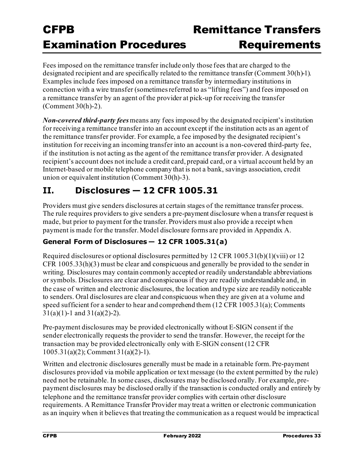Fees imposed on the remittance transfer include only those fees that are charged to the designated recipient and are specifically related to the remittance transfer (Comment 30(h)-1). Examples include fees imposed on a remittance transfer by intermediary institutions in connection with a wire transfer (sometimes referred to as "lifting fees") and fees imposed on a remittance transfer by an agent of the provider at pick-up for receiving the transfer (Comment 30(h)-2).

*Non-covered third-party fees* means any fees imposed by the designated recipient's institution for receiving a remittance transfer into an account except if the institution acts as an agent of the remittance transfer provider. For example, a fee imposed by the designated recipient's institution for receiving an incoming transfer into an account is a non-covered third-party fee, if the institution is not acting as the agent of the remittance transfer provider. A designated recipient's account does not include a credit card, prepaid card, or a virtual account held by an Internet-based or mobile telephone company that is not a bank, savings association, credit union or equivalent institution (Comment 30(h)-3).

## **II. Disclosures — 12 CFR 1005.31**

Providers must give senders disclosures at certain stages of the remittance transfer process. The rule requires providers to give senders a pre-payment disclosure when a transfer request is made, but prior to payment for the transfer. Providers must also provide a receipt when payment is made for the transfer. Model disclosure forms are provided in Appendix A.

### **General Form of Disclosures — 12 CFR 1005.31(a)**

Required disclosures or optional disclosures permitted by 12 CFR 1005.31(b)(1)(viii) or 12 CFR 1005.33(h)(3) must be clear and conspicuous and generally be provided to the sender in writing. Disclosures may contain commonly accepted or readily understandable abbreviations or symbols. Disclosures are clear and conspicuous if they are readily understandable and, in the case of written and electronic disclosures, the location and type size are readily noticeable to senders. Oral disclosures are clear and conspicuous when they are given at a volume and speed sufficient for a sender to hear and comprehend them (12 CFR 1005.31(a); Comments  $31(a)(1)-1$  and  $31(a)(2)-2$ ).

Pre-payment disclosures may be provided electronically without E-SIGN consent if the sender electronically requests the provider to send the transfer. However, the receipt for the transaction may be provided electronically only with E-SIGN consent (12 CFR 1005.31(a)(2); Comment 31(a)(2)-1).

Written and electronic disclosures generally must be made in a retainable form. Pre-payment disclosures provided via mobile application or text message (to the extent permitted by the rule) need not be retainable. In some cases, disclosures may be disclosed orally. For example, prepayment disclosures may be disclosed orally if the transaction is conducted orally and entirely by telephone and the remittance transfer provider complies with certain other disclosure requirements. A Remittance Transfer Provider may treat a written or electronic communication as an inquiry when it believes that treating the communication as a request would be impractical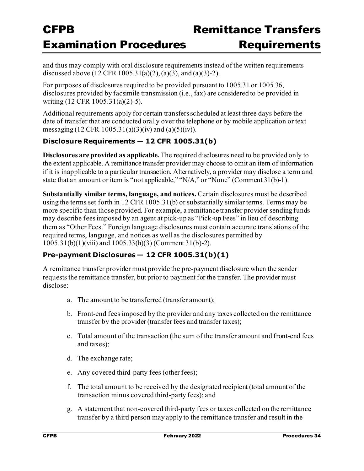and thus may comply with oral disclosure requirements instead of the written requirements discussed above (12 CFR 1005.31(a)(2), (a)(3), and (a)(3)-2).

For purposes of disclosures required to be provided pursuant to 1005.31 or 1005.36, disclosures provided by facsimile transmission (i.e., fax) are considered to be provided in writing (12 CFR 1005.31(a)(2)-5).

Additional requirements apply for certain transfers scheduled at least three days before the date of transfer that are conducted orally over the telephone or by mobile application or text messaging (12 CFR 1005.31(a)(3)(iv) and (a)(5)(iv)).

### **Disclosure Requirements — 12 CFR 1005.31(b)**

**Disclosures are provided as applicable.** The required disclosures need to be provided only to the extent applicable. A remittance transfer provider may choose to omit an item of information if it is inapplicable to a particular transaction. Alternatively, a provider may disclose a term and state that an amount or item is "not applicable," "N/A," or "None" (Comment 31(b)-1).

**Substantially similar terms, language, and notices.** Certain disclosures must be described using the terms set forth in 12 CFR 1005.31(b) or substantially similar terms. Terms may be more specific than those provided. For example, a remittance transfer provider sending funds may describe fees imposed by an agent at pick-up as "Pick-up Fees" in lieu of describing them as "Other Fees." Foreign language disclosures must contain accurate translations of the required terms, language, and notices as well as the disclosures permitted by 1005.31(b)(1)(viii) and 1005.33(h)(3) (Comment 31(b)-2).

### **Pre-payment Disclosures — 12 CFR 1005.31(b)(1)**

A remittance transfer provider must provide the pre-payment disclosure when the sender requests the remittance transfer, but prior to payment for the transfer. The provider must disclose:

- a. The amount to be transferred (transfer amount);
- b. Front-end fees imposed by the provider and any taxes collected on the remittance transfer by the provider (transfer fees and transfer taxes);
- c. Total amount of the transaction (the sum of the transfer amount and front-end fees and taxes);
- d. The exchange rate;
- e. Any covered third-party fees (other fees);
- f. The total amount to be received by the designated recipient (total amount of the transaction minus covered third-party fees); and
- g. A statement that non-covered third-party fees or taxes collected on the remittance transfer by a third person may apply to the remittance transfer and result in the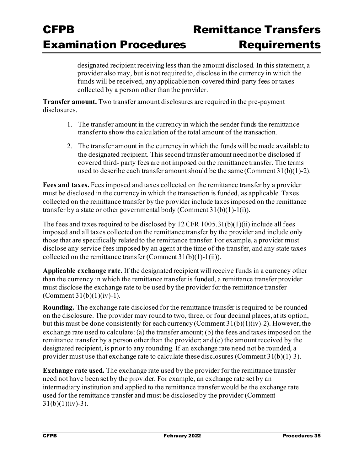designated recipient receiving less than the amount disclosed. In this statement, a provider also may, but is not required to, disclose in the currency in which the funds will be received, any applicable non-covered third-party fees or taxes collected by a person other than the provider.

**Transfer amount.** Two transfer amount disclosures are required in the pre-payment disclosures.

- 1. The transfer amount in the currency in which the sender funds the remittance transferto show the calculation of the total amount of the transaction.
- 2. The transfer amount in the currency in which the funds will be made available to the designated recipient. This second transfer amount need not be disclosed if covered third- party fees are not imposed on the remittance transfer. The terms used to describe each transfer amount should be the same (Comment 31(b)(1)-2).

**Fees and taxes.** Fees imposed and taxes collected on the remittance transfer by a provider must be disclosed in the currency in which the transaction is funded, as applicable. Taxes collected on the remittance transfer by the provider include taxes imposed on the remittance transfer by a state or other governmental body (Comment  $31(b)(1)-1(i)$ ).

The fees and taxes required to be disclosed by  $12$  CFR  $1005.31(b)(1)(ii)$  include all fees imposed and all taxes collected on the remittance transfer by the provider and include only those that are specifically related to the remittance transfer. For example, a provider must disclose any service fees imposed by an agent at the time of the transfer, and any state taxes collected on the remittance transfer (Comment  $31(b)(1)-1(ii)$ ).

**Applicable exchange rate.** If the designated recipient will receive funds in a currency other than the currency in which the remittance transfer is funded, a remittance transfer provider must disclose the exchange rate to be used by the provider for the remittance transfer (Comment  $31(b)(1)(iv)-1$ ).

**Rounding.** The exchange rate disclosed for the remittance transfer is required to be rounded on the disclosure. The provider may round to two, three, or four decimal places, at its option, but this must be done consistently for each currency (Comment 31(b)(1)(iv)-2). However, the exchange rate used to calculate: (a) the transfer amount; (b) the fees and taxes imposed on the remittance transfer by a person other than the provider; and (c) the amount received by the designated recipient, is prior to any rounding. If an exchange rate need not be rounded, a provider must use that exchange rate to calculate these disclosures (Comment 31(b)(1)-3).

**Exchange rate used.** The exchange rate used by the provider for the remittance transfer need not have been set by the provider. For example, an exchange rate set by an intermediary institution and applied to the remittance transfer would be the exchange rate used for the remittance transfer and must be disclosed by the provider (Comment  $31(b)(1)(iv) - 3$ ).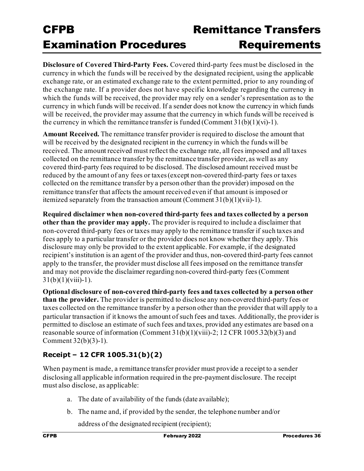# Remittance Transfer **Requirements**

**Disclosure of Covered Third-Party Fees.** Covered third-party fees must be disclosed in the currency in which the funds will be received by the designated recipient, using the applicable exchange rate, or an estimated exchange rate to the extent permitted, prior to any rounding of the exchange rate. If a provider does not have specific knowledge regarding the currency in which the funds will be received, the provider may rely on a sender's representation as to the currency in which funds will be received. If a sender does not know the currency in which funds will be received, the provider may assume that the currency in which funds will be received is the currency in which the remittance transfer is funded (Comment  $31(b)(1)(vi)-1$ ).

**Amount Received.** The remittance transfer provider is required to disclose the amount that will be received by the designated recipient in the currency in which the funds will be received. The amount received must reflect the exchange rate, all fees imposed and all taxes collected on the remittance transfer by the remittance transfer provider, as well as any covered third-party fees required to be disclosed. The disclosed amount received must be reduced by the amount of any fees or taxes (except non-covered third-party fees or taxes collected on the remittance transfer by a person other than the provider) imposed on the remittance transfer that affects the amount received even if that amount is imposed or itemized separately from the transaction amount (Comment 31(b)(1)(vii)-1).

**Required disclaimer when non-covered third-party fees and taxes collected by a person other than the provider may apply.** The provider is required to include a disclaimer that non-covered third-party fees or taxes may apply to the remittance transfer if such taxes and fees apply to a particular transfer or the provider does not know whether they apply. This disclosure may only be provided to the extent applicable. For example, if the designated recipient's institution is an agent of the provider and thus, non-covered third-party fees cannot apply to the transfer, the provider must disclose all fees imposed on the remittance transfer and may not provide the disclaimer regarding non-covered third-party fees (Comment  $31(b)(1)(viii)-1)$ .

**Optional disclosure of non-covered third-party fees and taxes collected by a person other than the provider.** The provider is permitted to disclose any non-covered third-party fees or taxes collected on the remittance transfer by a person other than the provider that will apply to a particular transaction if it knows the amount of such fees and taxes. Additionally, the provider is permitted to disclose an estimate of such fees and taxes, provided any estimates are based on a reasonable source of information (Comment 31(b)(1)(viii)-2; 12 CFR 1005.32(b)(3) and Comment 32(b)(3)-1).

### **Receipt – 12 CFR 1005.31(b)(2)**

When payment is made, a remittance transfer provider must provide a receipt to a sender disclosing all applicable information required in the pre-payment disclosure. The receipt must also disclose, as applicable:

- a. The date of availability of the funds (date available);
- b. The name and, if provided by the sender, the telephone number and/or

address of the designated recipient (recipient);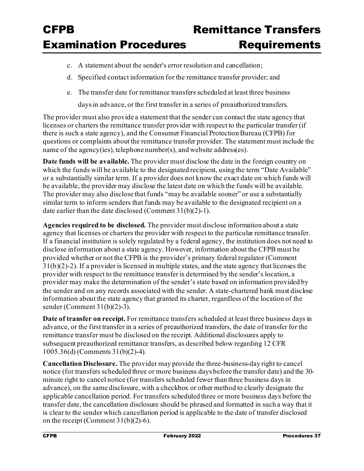- c. A statement about the sender's error resolution and cancellation;
- d. Specified contact information for the remittance transfer provider; and
- e. The transfer date for remittance transfers scheduled at least three business

daysin advance, or the first transfer in a series of preauthorized transfers.

The provider must also provide a statement that the sender can contact the state agency that licenses or charters the remittance transfer provider with respect to the particular transfer (if there is such a state agency), and the Consumer Financial Protection Bureau (CFPB) for questions or complaints about the remittance transfer provider. The statement must include the name of the agency(ies), telephone number(s), and website address(es).

**Date funds will be available.** The provider must disclose the date in the foreign country on which the funds will be available to the designated recipient, using the term "Date Available" or a substantially similar term. If a provider does not know the exact date on which funds will be available, the provider may disclose the latest date on which the funds will be available. The provider may also disclose that funds "may be available sooner" or use a substantially similar term to inform senders that funds may be available to the designated recipient on a date earlier than the date disclosed (Comment 31(b)(2)-1).

**Agencies required to be disclosed.** The provider must disclose information about a state agency that licenses or charters the provider with respect to the particular remittance transfer. If a financial institution is solely regulated by a federal agency, the institution does not need to disclose information about a state agency. However, information about the CFPB must be provided whether or not the CFPB is the provider's primary federal regulator (Comment 31(b)(2)-2). If a provider is licensed in multiple states, and the state agency that licenses the provider with respect to the remittance transfer is determined by the sender's location, a provider may make the determination of the sender's state based on information provided by the sender and on any records associated with the sender. A state-chartered bank must disclose information about the state agency that granted its charter, regardless of the location of the sender (Comment 31(b)(2)-3).

**Date of transfer on receipt.** For remittance transfers scheduled at least three business days in advance, or the first transfer in a series of preauthorized transfers, the date of transfer for the remittance transfer must be disclosed on the receipt. Additional disclosures apply to subsequent preauthorized remittance transfers, as described below regarding 12 CFR 1005.36(d) (Comments 31(b)(2)-4).

**Cancellation Disclosure.** The provider may provide the three-business-day right to cancel notice (for transfers scheduled three or more business days before the transfer date) and the 30 minute right to cancel notice (for transfers scheduled fewer than three business days in advance), on the same disclosure, with a checkbox or other method to clearly designate the applicable cancellation period. For transfers scheduled three or more business days before the transfer date, the cancellation disclosure should be phrased and formatted in such a way that it is clear to the sender which cancellation period is applicable to the date of transfer disclosed on the receipt (Comment  $31(b)(2)-6$ ).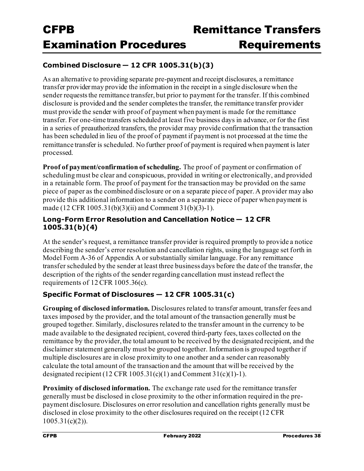#### **Combined Disclosure — 12 CFR 1005.31(b)(3)**

As an alternative to providing separate pre-payment and receipt disclosures, a remittance transfer providermay provide the information in the receipt in a single disclosure when the sender requests the remittance transfer, but prior to payment for the transfer. If this combined disclosure is provided and the sender completes the transfer, the remittance transfer provider must provide the sender with proof of payment when payment is made for the remittance transfer. For one-time transfers scheduled at least five business days in advance, or for the first in a series of preauthorized transfers, the provider may provide confirmation that the transaction has been scheduled in lieu of the proof of payment if payment is not processed at the time the remittance transfer is scheduled. No further proof of payment is required when payment is later processed.

**Proof of payment/confirmation of scheduling.** The proof of payment or confirmation of scheduling must be clear and conspicuous, provided in writing or electronically, and provided in a retainable form. The proof of payment for the transaction may be provided on the same piece of paper as the combined disclosure or on a separate piece of paper. A provider may also provide this additional information to a sender on a separate piece of paper when payment is made (12 CFR 1005.31(b)(3)(ii) and Comment 31(b)(3)-1).

#### **Long-Form Error Resolution and Cancellation Notice — 12 CFR 1005.31(b)(4)**

At the sender's request, a remittance transfer provider is required promptly to provide a notice describing the sender's error resolution and cancellation rights, using the language set forth in Model Form A-36 of Appendix A or substantially similar language. For any remittance transfer scheduled by the sender at least three business days before the date of the transfer, the description of the rights of the sender regarding cancellation must instead reflect the requirements of 12 CFR 1005.36(c).

#### **Specific Format of Disclosures — 12 CFR 1005.31(c)**

**Grouping of disclosed information.** Disclosures related to transfer amount, transfer fees and taxes imposed by the provider, and the total amount of the transaction generally must be grouped together. Similarly, disclosures related to the transfer amount in the currency to be made available to the designated recipient, covered third-party fees, taxes collected on the remittance by the provider, the total amount to be received by the designated recipient, and the disclaimer statement generally must be grouped together. Information is grouped together if multiple disclosures are in close proximity to one another and a sender can reasonably calculate the total amount of the transaction and the amount that will be received by the designated recipient (12 CFR 1005.31(c)(1) and Comment 31(c)(1)-1).

**Proximity of disclosed information.** The exchange rate used for the remittance transfer generally must be disclosed in close proximity to the other information required in the prepayment disclosure. Disclosures on error resolution and cancellation rights generally must be disclosed in close proximity to the other disclosures required on the receipt (12 CFR  $1005.31(c)(2)$ ).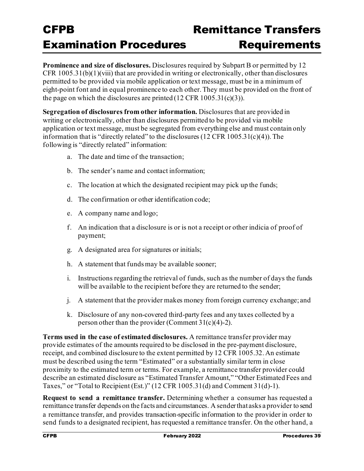**Prominence and size of disclosures.** Disclosures required by Subpart B or permitted by 12 CFR 1005.31(b)(1)(viii) that are provided in writing or electronically, other than disclosures permitted to be provided via mobile application or text message, must be in a minimum of eight-point font and in equal prominence to each other. They must be provided on the front of the page on which the disclosures are printed  $(12 \text{ CFR } 1005.31(c)(3))$ .

**Segregation of disclosures from other information.** Disclosures that are provided in writing or electronically, other than disclosures permitted to be provided via mobile application or text message, must be segregated from everything else and must contain only information that is "directly related" to the disclosures (12 CFR 1005.31(c)(4)). The following is "directly related" information:

- a. The date and time of the transaction;
- b. The sender's name and contact information;
- c. The location at which the designated recipient may pick up the funds;
- d. The confirmation or other identification code;
- e. A company name and logo;
- f. An indication that a disclosure is or is not a receipt or other indicia of proof of payment;
- g. A designated area for signatures or initials;
- h. A statement that funds may be available sooner;
- i. Instructions regarding the retrieval of funds, such as the number of days the funds will be available to the recipient before they are returned to the sender;
- j. A statement that the provider makes money from foreign currency exchange; and
- k. Disclosure of any non-covered third-party fees and any taxes collected by a person other than the provider (Comment  $31(c)(4)-2$ ).

**Terms used in the case of estimated disclosures.** A remittance transfer provider may provide estimates of the amounts required to be disclosed in the pre-payment disclosure, receipt, and combined disclosure to the extent permitted by 12 CFR 1005.32. An estimate must be described using the term "Estimated" or a substantially similar term in close proximity to the estimated term or terms. For example, a remittance transfer provider could describe an estimated disclosure as "Estimated Transfer Amount," "Other Estimated Fees and Taxes," or "Total to Recipient (Est.)" (12 CFR 1005.31(d) and Comment 31(d)-1).

**Request to send a remittance transfer.** Determining whether a consumer has requested a remittance transfer depends on the facts and circumstances. A senderthat asks a provider to send a remittance transfer, and provides transaction-specific information to the provider in order to send funds to a designated recipient, has requested a remittance transfer. On the other hand, a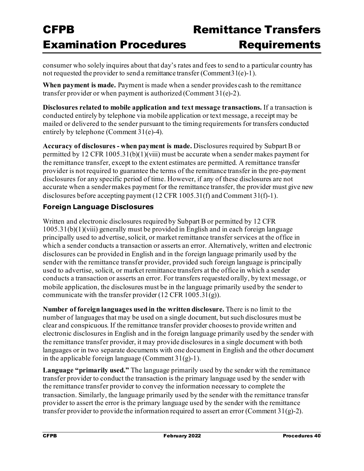consumer who solely inquires about that day's rates and fees to send to a particular country has not requested the provider to send a remittance transfer (Comment  $31(e)-1$ ).

**When payment is made.** Payment is made when a sender provides cash to the remittance transfer provider or when payment is authorized (Comment 31(e)-2).

**Disclosures related to mobile application and text message transactions.** If a transaction is conducted entirely by telephone via mobile application or text message, a receipt may be mailed or delivered to the sender pursuant to the timing requirements for transfers conducted entirely by telephone (Comment 31(e)-4).

**Accuracy of disclosures - when payment is made.** Disclosures required by Subpart B or permitted by 12 CFR 1005.31(b)(1)(viii) must be accurate when a sender makes payment for the remittance transfer, except to the extent estimates are permitted. A remittance transfer provider is not required to guarantee the terms of the remittance transfer in the pre-payment disclosures for any specific period of time. However, if any of these disclosures are not accurate when a sender makes payment for the remittance transfer, the provider must give new disclosures before accepting payment (12 CFR 1005.31(f) and Comment 31(f)-1).

#### **Foreign Language Disclosures**

Written and electronic disclosures required by Subpart B or permitted by 12 CFR 1005.31(b)(1)(viii) generally must be provided in English and in each foreign language principally used to advertise, solicit, or market remittance transfer services at the office in which a sender conducts a transaction or asserts an error. Alternatively, written and electronic disclosures can be provided in English and in the foreign language primarily used by the sender with the remittance transfer provider, provided such foreign language is principally used to advertise, solicit, or market remittance transfers at the office in which a sender conducts a transaction or asserts an error. For transfers requested orally, by text message, or mobile application, the disclosures must be in the language primarily used by the sender to communicate with the transfer provider  $(12 \text{ CFR } 1005.31(g))$ .

**Number of foreign languages used in the written disclosure.** There is no limit to the number of languages that may be used on a single document, but such disclosures must be clear and conspicuous. If the remittance transfer provider chooses to provide written and electronic disclosures in English and in the foreign language primarily used by the sender with the remittance transfer provider, it may provide disclosures in a single document with both languages or in two separate documents with one document in English and the other document in the applicable foreign language (Comment  $31(g)-1$ ).

**Language "primarily used."** The language primarily used by the sender with the remittance transfer provider to conduct the transaction is the primary language used by the sender with the remittance transfer provider to convey the information necessary to complete the transaction. Similarly, the language primarily used by the sender with the remittance transfer provider to assert the error is the primary language used by the sender with the remittance transfer provider to provide the information required to assert an error (Comment  $31(g)$ -2).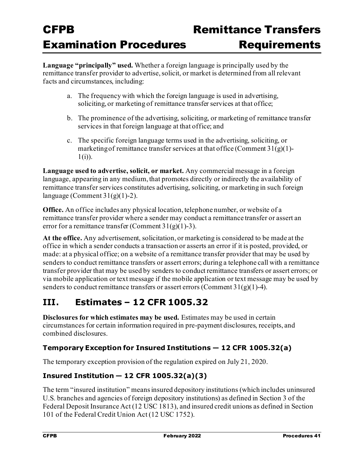**Language "principally" used.** Whether a foreign language is principally used by the remittance transfer provider to advertise, solicit, or market is determined from all relevant facts and circumstances, including:

- a. The frequency with which the foreign language is used in advertising, soliciting, or marketing of remittance transfer services at that office;
- b. The prominence of the advertising, soliciting, or marketing of remittance transfer services in that foreign language at that office; and
- c. The specific foreign language terms used in the advertising, soliciting, or marketing of remittance transfer services at that office (Comment  $31(g)(1)$ - $1(i)$ ).

**Language used to advertise, solicit, or market.** Any commercial message in a foreign language, appearing in any medium, that promotes directly or indirectly the availability of remittance transfer services constitutes advertising, soliciting, or marketing in such foreign language (Comment  $31(g)(1)-2$ ).

**Office.** An office includes any physical location, telephone number, or website of a remittance transfer provider where a sender may conduct a remittance transfer or assert an error for a remittance transfer (Comment  $31(g)(1)-3$ ).

**At the office.** Any advertisement, solicitation, or marketing is considered to be made at the office in which a sender conducts a transaction or asserts an error if it is posted, provided, or made: at a physical office; on a website of a remittance transfer provider that may be used by senders to conduct remittance transfers or assert errors; during a telephone call with a remittance transfer provider that may be used by senders to conduct remittance transfers or assert errors; or via mobile application or text message if the mobile application or text message may be used by senders to conduct remittance transfers or assert errors (Comment  $31(g)(1)$ -4).

### **III. Estimates – 12 CFR 1005.32**

**Disclosures for which estimates may be used.** Estimates may be used in certain circumstances for certain information required in pre-payment disclosures, receipts, and combined disclosures.

#### **Temporary Exception for Insured Institutions — 12 CFR 1005.32(a)**

The temporary exception provision of the regulation expired on July 21, 2020.

#### **Insured Institution — 12 CFR 1005.32(a)(3)**

The term "insured institution" means insured depository institutions (which includes uninsured U.S. branches and agencies of foreign depository institutions) as defined in Section 3 of the Federal Deposit Insurance Act (12 USC 1813), and insured credit unions as defined in Section 101 of the Federal Credit Union Act (12 USC 1752).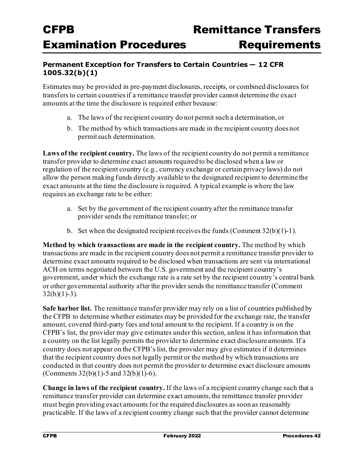#### **Permanent Exception for Transfers to Certain Countries — 12 CFR 1005.32(b)(1)**

Estimates may be provided in pre-payment disclosures, receipts, or combined disclosures for transfers to certain countries if a remittance transfer provider cannot determine the exact amounts at the time the disclosure is required either because:

- a. The laws of the recipient country do not permit such a determination, or
- b. The method by which transactions are made in the recipient country does not permitsuch determination.

**Laws of the recipient country.** The laws of the recipient country do not permit a remittance transfer provider to determine exact amounts required to be disclosed when a law or regulation of the recipient country (e.g., currency exchange or certain privacy laws) do not allow the person making funds directly available to the designated recipient to determine the exact amounts at the time the disclosure is required. A typical example is where the law requires an exchange rate to be either:

- a. Set by the government of the recipient country after the remittance transfer provider sends the remittance transfer; or
- b. Set when the designated recipient receives the funds (Comment  $32(b)(1)-1$ ).

**Method by which transactions are made in the recipient country.** The method by which transactions are made in the recipient country does not permit a remittance transfer provider to determine exact amounts required to be disclosed when transactions are sent via international ACH on terms negotiated between the U.S. government and the recipient country's government, under which the exchange rate is a rate set by the recipient country's central bank or other governmental authority after the provider sends the remittance transfer (Comment  $32(b)(1)-3$ ).

**Safe harbor list.** The remittance transfer provider may rely on a list of countries published by the CFPB to determine whether estimates may be provided for the exchange rate, the transfer amount, covered third-party fees and total amount to the recipient. If a country is on the CFPB's list, the provider may give estimates under this section, unless it has information that a country on the list legally permits the provider to determine exact disclosure amounts. If a country does not appear on the CFPB's list, the provider may give estimates if it determines that the recipient country does not legally permit or the method by which transactions are conducted in that country does not permit the provider to determine exact disclosure amounts (Comments 32(b)(1)-5 and 32(b)(1)-6).

**Change in laws of the recipient country.** If the laws of a recipient country change such that a remittance transfer provider can determine exact amounts, the remittance transfer provider must begin providing exact amounts for the required disclosures as soon as reasonably practicable. If the laws of a recipient country change such that the provider cannot determine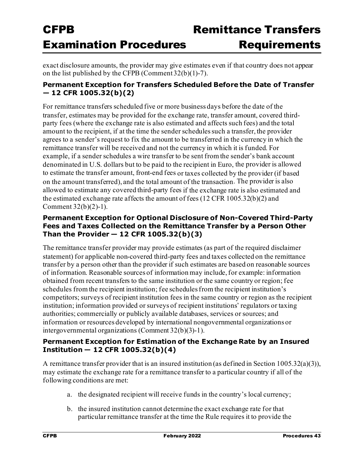exact disclosure amounts, the provider may give estimates even if that country does not appear on the list published by the CFPB (Comment 32(b)(1)-7).

#### **Permanent Exception for Transfers Scheduled Before the Date of Transfer — 12 CFR 1005.32(b)(2)**

For remittance transfers scheduled five or more business days before the date of the transfer, estimates may be provided for the exchange rate, transfer amount, covered thirdparty fees (where the exchange rate is also estimated and affects such fees) and the total amount to the recipient, if at the time the sender schedules such a transfer, the provider agrees to a sender's request to fix the amount to be transferred in the currency in which the remittance transfer will be received and not the currency in which it is funded. For example, if a sender schedules a wire transfer to be sent from the sender's bank account denominated in U.S. dollars but to be paid to the recipient in Euro, the provider is allowed to estimate the transfer amount, front-end fees or taxes collected by the provider (if based on the amount transferred), and the total amount of the transaction. The provider is also allowed to estimate any covered third-party fees if the exchange rate is also estimated and the estimated exchange rate affects the amount of fees (12 CFR 1005.32(b)(2) and Comment 32(b)(2)-1).

#### **Permanent Exception for Optional Disclosure of Non-Covered Third-Party Fees and Taxes Collected on the Remittance Transfer by a Person Other Than the Provider — 12 CFR 1005.32(b)(3)**

The remittance transfer provider may provide estimates (as part of the required disclaimer statement) for applicable non-covered third-party fees and taxes collected on the remittance transfer by a person other than the provider if such estimates are based on reasonable sources of information. Reasonable sources of information may include, for example: information obtained from recent transfers to the same institution or the same country or region; fee schedules from the recipient institution; fee schedules from the recipient institution's competitors; surveys of recipient institution fees in the same country or region as the recipient institution; information provided or surveys of recipient institutions' regulators or taxing authorities; commercially or publicly available databases, services or sources; and information or resources developed by international nongovernmental organizations or intergovernmental organizations (Comment 32(b)(3)-1).

#### **Permanent Exception for Estimation of the Exchange Rate by an Insured Institution — 12 CFR 1005.32(b)(4)**

A remittance transfer provider that is an insured institution (as defined in Section 1005.32(a)(3)), may estimate the exchange rate for a remittance transfer to a particular country if all of the following conditions are met:

- a. the designated recipient will receive funds in the country's local currency;
- b. the insured institution cannot determine the exact exchange rate for that particular remittance transfer at the time the Rule requires it to provide the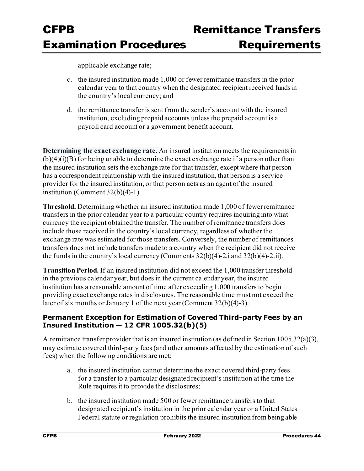applicable exchange rate;

- c. the insured institution made 1,000 or fewer remittance transfers in the prior calendar year to that country when the designated recipient received funds in the country's local currency; and
- d. the remittance transfer is sent from the sender's account with the insured institution, excluding prepaid accounts unless the prepaid account is a payroll card account or a government benefit account.

**Determining the exact exchange rate.** An insured institution meets the requirements in  $(b)(4)(i)(B)$  for being unable to determine the exact exchange rate if a person other than the insured institution sets the exchange rate for that transfer, except where that person has a correspondent relationship with the insured institution, that person is a service provider for the insured institution, or that person acts as an agent of the insured institution (Comment 32(b)(4)-1).

**Threshold.** Determining whether an insured institution made 1,000 of fewer remittance transfers in the prior calendar year to a particular country requires inquiring into what currency the recipient obtained the transfer. The number of remittance transfers does include those received in the country's local currency, regardless of whether the exchange rate was estimated for those transfers. Conversely, the number of remittances transfers does not include transfers made to a country when the recipient did not receive the funds in the country's local currency (Comments  $32(b)(4)$ -2.i and  $32(b)(4)$ -2.ii).

**Transition Period.** If an insured institution did not exceed the 1,000 transfer threshold in the previous calendar year, but does in the current calendar year, the insured institution has a reasonable amount of time after exceeding 1,000 transfers to begin providing exact exchange rates in disclosures. The reasonable time must not exceed the later of six months or January 1 of the next year (Comment 32(b)(4)-3).

#### **Permanent Exception for Estimation of Covered Third-party Fees by an Insured Institution — 12 CFR 1005.32(b)(5)**

A remittance transfer provider that is an insured institution (as defined in Section 1005.32(a)(3), may estimate covered third-party fees (and other amounts affected by the estimation of such fees) when the following conditions are met:

- a. the insured institution cannot determine the exact covered third-party fees for a transfer to a particular designated recipient's institution at the time the Rule requires it to provide the disclosures;
- b. the insured institution made 500 or fewer remittance transfers to that designated recipient's institution in the prior calendar year or a United States Federal statute or regulation prohibits the insured institution from being able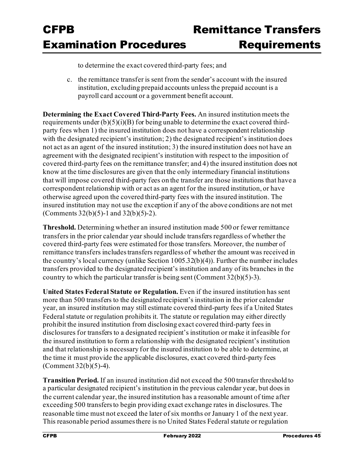to determine the exact covered third-party fees; and

c. the remittance transfer is sent from the sender's account with the insured institution, excluding prepaid accounts unless the prepaid account is a payroll card account or a government benefit account.

**Determining the Exact Covered Third-Party Fees.** An insured institution meets the requirements under  $(b)(5)(i)(B)$  for being unable to determine the exact covered thirdparty fees when 1) the insured institution does not have a correspondent relationship with the designated recipient's institution; 2) the designated recipient's institution does not act as an agent of the insured institution; 3) the insured institution does not have an agreement with the designated recipient's institution with respect to the imposition of covered third-party fees on the remittance transfer; and 4) the insured institution does not know at the time disclosures are given that the only intermediary financial institutions that will impose covered third-party fees on the transfer are those institutions that have a correspondent relationship with or act as an agent for the insured institution, or have otherwise agreed upon the covered third-party fees with the insured institution. The insured institution may not use the exception if any of the above conditions are not met (Comments 32(b)(5)-1 and 32(b)(5)-2).

**Threshold.** Determining whether an insured institution made 500 or fewer remittance transfers in the prior calendar year should include transfers regardless of whether the covered third-party fees were estimated for those transfers. Moreover, the number of remittance transfers includes transfers regardless of whether the amount was received in the country's local currency (unlike Section 1005.32(b)(4)). Further the number includes transfers provided to the designated recipient's institution and any of its branches in the country to which the particular transfer is being sent (Comment 32(b)(5)-3).

**United States Federal Statute or Regulation.** Even if the insured institution has sent more than 500 transfers to the designated recipient's institution in the prior calendar year, an insured institution may still estimate covered third-party fees if a United States Federal statute or regulation prohibits it. The statute or regulation may either directly prohibit the insured institution from disclosing exact covered third-party fees in disclosures for transfers to a designated recipient's institution or make it infeasible for the insured institution to form a relationship with the designated recipient's institution and that relationship is necessary for the insured institution to be able to determine, at the time it must provide the applicable disclosures, exact covered third-party fees (Comment  $32(b)(5)-4$ ).

**Transition Period.** If an insured institution did not exceed the 500 transfer threshold to a particular designated recipient's institution in the previous calendar year, but does in the current calendar year, the insured institution has a reasonable amount of time after exceeding 500 transfers to begin providing exact exchange rates in disclosures. The reasonable time must not exceed the later of six months or January 1 of the next year. This reasonable period assumes there is no United States Federal statute or regulation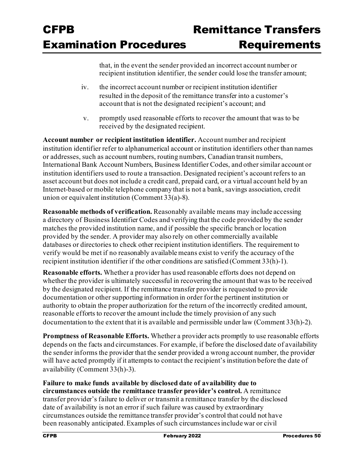that, in the event the sender provided an incorrect account number or recipient institution identifier, the sender could lose the transfer amount;

- iv. the incorrect account number or recipient institution identifier resulted in the deposit of the remittance transfer into a customer's account that is not the designated recipient's account; and
- v. promptly used reasonable efforts to recover the amount that was to be received by the designated recipient.

**Account number or recipient institution identifier.** Account number and recipient institution identifier refer to alphanumerical account or institution identifiers other than names or addresses, such as account numbers, routing numbers, Canadian transit numbers, International Bank Account Numbers, Business Identifier Codes, and other similar account or institution identifiers used to route a transaction. Designated recipient's account refers to an asset account but does not include a credit card, prepaid card, or a virtual account held by an Internet-based or mobile telephone company that is not a bank, savings association, credit union or equivalent institution (Comment 33(a)-8).

**Reasonable methods of verification.** Reasonably available means may include accessing a directory of Business Identifier Codes and verifying that the code provided by the sender matches the provided institution name, and if possible the specific branch or location provided by the sender. A provider may also rely on other commercially available databases or directories to check other recipient institution identifiers. The requirement to verify would be met if no reasonably available means exist to verify the accuracy of the recipient institution identifier if the other conditions are satisfied (Comment 33(h)-1).

**Reasonable efforts.** Whether a provider has used reasonable efforts does not depend on whether the provider is ultimately successful in recovering the amount that was to be received by the designated recipient. If the remittance transfer provider is requested to provide documentation or other supporting information in order for the pertinent institution or authority to obtain the proper authorization for the return of the incorrectly credited amount, reasonable efforts to recover the amount include the timely provision of any such documentation to the extent that it is available and permissible under law (Comment 33(h)-2).

**Promptness of Reasonable Efforts.** Whether a provider acts promptly to use reasonable efforts depends on the facts and circumstances. For example, if before the disclosed date of availability the sender informs the provider that the sender provided a wrong account number, the provider will have acted promptly if it attempts to contact the recipient's institution before the date of availability (Comment 33(h)-3).

**Failure to make funds available by disclosed date of availability due to circumstances outside the remittance transfer provider's control.** A remittance transfer provider's failure to deliver or transmit a remittance transfer by the disclosed date of availability is not an error if such failure was caused by extraordinary circumstances outside the remittance transfer provider's control that could not have been reasonably anticipated. Examples of such circumstances include war or civil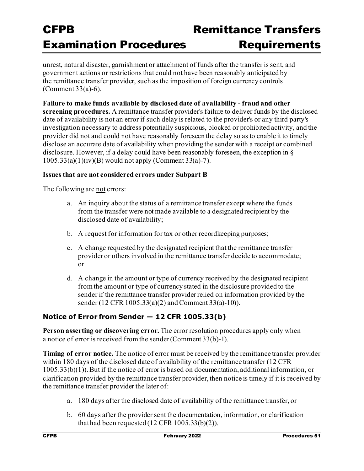unrest, natural disaster, garnishment or attachment of funds after the transfer is sent, and government actions or restrictions that could not have been reasonably anticipated by the remittance transfer provider, such as the imposition of foreign currency controls (Comment 33(a)-6).

**Failure to make funds available by disclosed date of availability - fraud and other screening procedures.** A remittance transfer provider's failure to deliver funds by the disclosed date of availability is not an error if such delay is related to the provider's or any third party's investigation necessary to address potentially suspicious, blocked or prohibited activity, and the provider did not and could not have reasonably foreseen the delay so as to enable it to timely disclose an accurate date of availability when providing the sender with a receipt or combined disclosure. However, if a delay could have been reasonably foreseen, the exception in § 1005.33(a)(1)(iv)(B) would not apply (Comment 33(a)-7).

#### **Issues that are not considered errors under Subpart B**

The following are not errors:

- a. An inquiry about the status of a remittance transfer except where the funds from the transfer were not made available to a designated recipient by the disclosed date of availability;
- b. A request for information for tax or other recordkeeping purposes;
- c. A change requested by the designated recipient that the remittance transfer provider or others involved in the remittance transfer decide to accommodate; or
- d. A change in the amount or type of currency received by the designated recipient from the amount or type of currency stated in the disclosure provided to the sender if the remittance transfer provider relied on information provided by the sender (12 CFR 1005.33(a)(2) and Comment 33(a)-10)).

#### **Notice of Error from Sender — 12 CFR 1005.33(b)**

**Person asserting or discovering error.** The error resolution procedures apply only when a notice of error is received from the sender (Comment 33(b)-1).

**Timing of error notice.** The notice of error must be received by the remittance transfer provider within 180 days of the disclosed date of availability of the remittance transfer (12 CFR 1005.33(b)(1)). But if the notice of error is based on documentation, additional information, or clarification provided by the remittance transfer provider, then notice is timely if it is received by the remittance transfer provider the later of:

- a. 180 days after the disclosed date of availability of the remittance transfer, or
- b. 60 days after the provider sent the documentation, information, or clarification that had been requested  $(12 \text{ CFR } 1005.33(b)(2))$ .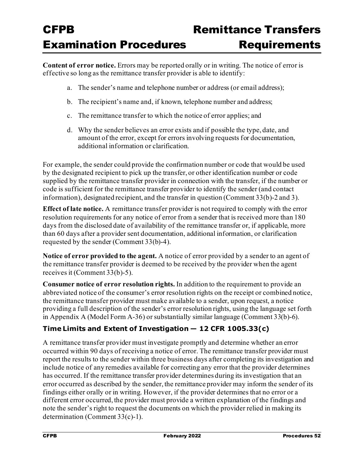**Content of error notice.** Errors may be reported orally or in writing. The notice of error is effective so long as the remittance transfer provider is able to identify:

- a. The sender's name and telephone number or address (or email address);
- b. The recipient's name and, if known, telephone number and address;
- c. The remittance transfer to which the notice of error applies; and
- d. Why the sender believes an error exists and if possible the type, date, and amount of the error, except for errors involving requests for documentation, additional information or clarification.

For example, the sender could provide the confirmation number or code that would be used by the designated recipient to pick up the transfer, or other identification number or code supplied by the remittance transfer provider in connection with the transfer, if the number or code is sufficient for the remittance transfer provider to identify the sender (and contact information), designated recipient, and the transfer in question (Comment 33(b)-2 and 3).

**Effect of late notice.** A remittance transfer provider is not required to comply with the error resolution requirements for any notice of error from a sender that is received more than 180 days from the disclosed date of availability of the remittance transfer or, if applicable, more than 60 days after a provider sent documentation, additional information, or clarification requested by the sender (Comment 33(b)-4).

**Notice of error provided to the agent.** A notice of error provided by a sender to an agent of the remittance transfer provider is deemed to be received by the provider when the agent receives it (Comment 33(b)-5).

**Consumer notice of error resolution rights.** In addition to the requirement to provide an abbreviated notice of the consumer's error resolution rights on the receipt or combined notice, the remittance transfer provider must make available to a sender, upon request, a notice providing a full description of the sender's error resolution rights, using the language set forth in Appendix A (Model Form A-36) or substantially similar language (Comment 33(b)-6).

#### **Time Limits and Extent of Investigation — 12 CFR 1005.33(c)**

A remittance transfer provider must investigate promptly and determine whether an error occurred within 90 days of receiving a notice of error. The remittance transfer provider must report the results to the sender within three business days after completing its investigation and include notice of any remedies available for correcting any error that the provider determines has occurred. If the remittance transfer provider determines during its investigation that an error occurred as described by the sender, the remittance provider may inform the sender of its findings either orally or in writing. However, if the provider determines that no error or a different error occurred, the provider must provide a written explanation of the findings and note the sender's right to request the documents on which the provider relied in making its determination (Comment 33(c)-1).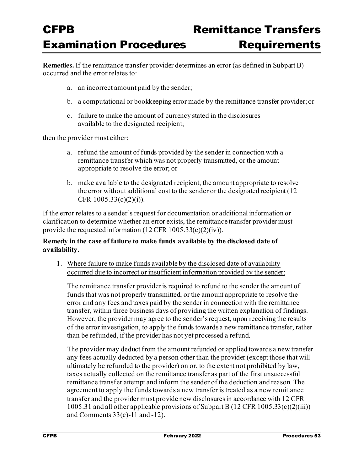# Remittance Transfer **Requirements**

**Remedies.** If the remittance transfer provider determines an error (as defined in Subpart B) occurred and the error relates to:

- a. an incorrect amount paid by the sender;
- b. a computational or bookkeeping error made by the remittance transfer provider; or
- c. failure to make the amount of currency stated in the disclosures available to the designated recipient;

then the provider must either:

- a. refund the amount of funds provided by the sender in connection with a remittance transfer which was not properly transmitted, or the amount appropriate to resolve the error; or
- b. make available to the designated recipient, the amount appropriate to resolve the error without additional cost to the sender or the designated recipient (12 CFR 1005.33(c)(2)(i)).

If the error relates to a sender's request for documentation or additional information or clarification to determine whether an error exists, the remittance transfer provider must provide the requested information (12 CFR 1005.33(c)(2)(iv)).

#### **Remedy in the case of failure to make funds available by the disclosed date of availability.**

1. Where failure to make funds available by the disclosed date of availability occurred due to incorrect or insufficient information provided by the sender:

The remittance transfer provider is required to refund to the sender the amount of funds that was not properly transmitted, or the amount appropriate to resolve the error and any fees and taxes paid by the sender in connection with the remittance transfer, within three business days of providing the written explanation of findings. However, the provider may agree to the sender's request, upon receiving the results of the error investigation, to apply the funds towards a new remittance transfer, rather than be refunded, if the provider has not yet processed a refund.

The provider may deduct from the amount refunded or applied towards a new transfer any fees actually deducted by a person other than the provider (except those that will ultimately be refunded to the provider) on or, to the extent not prohibited by law, taxes actually collected on the remittance transfer as part of the first unsuccessful remittance transfer attempt and inform the sender of the deduction and reason. The agreement to apply the funds towards a new transfer is treated as a new remittance transfer and the provider must provide new disclosures in accordance with 12 CFR 1005.31 and all other applicable provisions of Subpart B (12 CFR 1005.33(c)(2)(iii)) and Comments  $33(c)$ -11 and -12).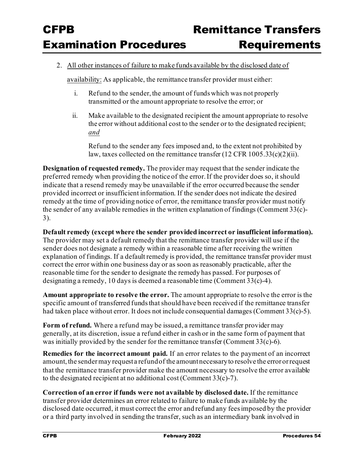#### 2. All other instances of failure to make funds available by the disclosed date of

availability: As applicable, the remittance transfer provider must either:

- i. Refund to the sender, the amount of funds which was not properly transmitted or the amount appropriate to resolve the error; or
- ii. Make available to the designated recipient the amount appropriate to resolve the error without additional cost to the sender or to the designated recipient; *and*

Refund to the sender any fees imposed and, to the extent not prohibited by law, taxes collected on the remittance transfer (12 CFR 1005.33(c)(2)(ii).

**Designation of requested remedy.** The provider may request that the sender indicate the preferred remedy when providing the notice of the error. If the provider does so, it should indicate that a resend remedy may be unavailable if the error occurred because the sender provided incorrect or insufficient information. If the sender does not indicate the desired remedy at the time of providing notice of error, the remittance transfer provider must notify the sender of any available remedies in the written explanation of findings (Comment 33(c)- 3).

**Default remedy (except where the sender provided incorrect or insufficient information).**  The provider may set a default remedy that the remittance transfer provider will use if the sender does not designate a remedy within a reasonable time after receiving the written explanation of findings. If a default remedy is provided, the remittance transfer provider must correct the error within one business day or as soon as reasonably practicable, after the reasonable time for the sender to designate the remedy has passed. For purposes of designating a remedy, 10 days is deemed a reasonable time (Comment 33(c)-4).

**Amount appropriate to resolve the error.** The amount appropriate to resolve the error is the specific amount of transferred funds that should have been received if the remittance transfer had taken place without error. It does not include consequential damages (Comment  $33(c)-5$ ).

**Form of refund.** Where a refund may be issued, a remittance transfer provider may generally, at its discretion, issue a refund either in cash or in the same form of payment that was initially provided by the sender for the remittance transfer (Comment 33(c)-6).

**Remedies for the incorrect amount paid.** If an error relates to the payment of an incorrect amount, the sender may request a refund of the amount necessary to resolve the error or request that the remittance transfer provider make the amount necessary to resolve the error available to the designated recipient at no additional cost (Comment 33(c)-7).

**Correction of an error if funds were not available by disclosed date.** If the remittance transfer provider determines an error related to failure to make funds available by the disclosed date occurred, it must correct the error and refund any fees imposed by the provider or a third party involved in sending the transfer, such as an intermediary bank involved in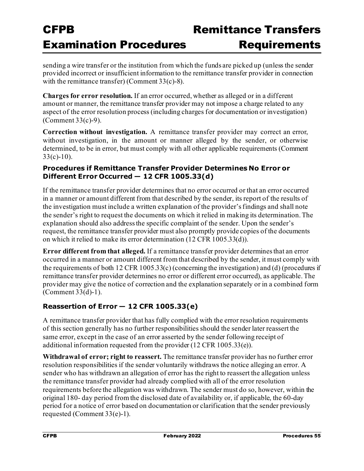sending a wire transfer or the institution from which the funds are picked up (unless the sender provided incorrect or insufficient information to the remittance transfer provider in connection with the remittance transfer) (Comment 33(c)-8).

**Charges for error resolution.** If an error occurred, whether as alleged or in a different amount or manner, the remittance transfer provider may not impose a charge related to any aspect of the error resolution process (including charges for documentation or investigation) (Comment 33(c)-9).

**Correction without investigation.** A remittance transfer provider may correct an error, without investigation, in the amount or manner alleged by the sender, or otherwise determined, to be in error, but must comply with all other applicable requirements (Comment  $33(c)-10$ ).

#### **Procedures if Remittance Transfer Provider Determines No Error or Different Error Occurred — 12 CFR 1005.33(d)**

If the remittance transfer provider determines that no error occurred or that an error occurred in a manner or amount different from that described by the sender, its report of the results of the investigation must include a written explanation of the provider's findings and shall note the sender's right to request the documents on which it relied in making its determination. The explanation should also address the specific complaint of the sender. Upon the sender's request, the remittance transfer provider must also promptly provide copies of the documents on which it relied to make its error determination (12 CFR 1005.33(d)).

**Error different from that alleged.** If a remittance transfer provider determines that an error occurred in a manner or amount different from that described by the sender, it must comply with the requirements of both 12 CFR 1005.33(c) (concerning the investigation) and (d) (procedures if remittance transfer provider determines no error or different error occurred), as applicable. The provider may give the notice of correction and the explanation separately or in a combined form (Comment 33(d)-1).

#### **Reassertion of Error — 12 CFR 1005.33(e)**

A remittance transfer provider that has fully complied with the error resolution requirements of this section generally has no further responsibilities should the sender later reassert the same error, except in the case of an error asserted by the sender following receipt of additional information requested from the provider (12 CFR 1005.33(e)).

**Withdrawal of error; right to reassert.** The remittance transfer provider has no further error resolution responsibilities if the sender voluntarily withdraws the notice alleging an error. A sender who has withdrawn an allegation of error has the right to reassert the allegation unless the remittance transfer provider had already complied with all of the error resolution requirements before the allegation was withdrawn. The sender must do so, however, within the original 180- day period from the disclosed date of availability or, if applicable, the 60-day period for a notice of error based on documentation or clarification that the sender previously requested (Comment 33(e)-1).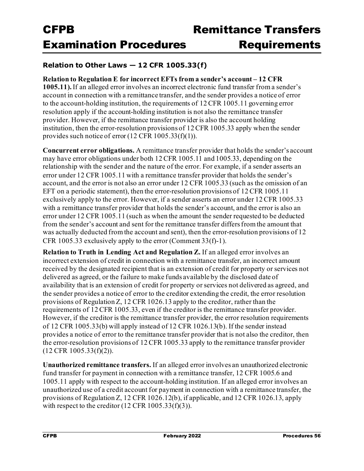#### **Relation to Other Laws — 12 CFR 1005.33(f)**

#### **Relation to Regulation E for incorrect EFTs from a sender's account – 12 CFR**

**1005.11).** If an alleged error involves an incorrect electronic fund transfer from a sender's account in connection with a remittance transfer, and the sender provides a notice of error to the account-holding institution, the requirements of 12 CFR 1005.11 governing error resolution apply if the account-holding institution is not also the remittance transfer provider. However, if the remittance transfer provider is also the account holding institution, then the error-resolution provisions of 12 CFR 1005.33 apply when the sender provides such notice of error  $(12 \text{ CFR } 1005.33(f)(1)).$ 

**Concurrent error obligations.** A remittance transfer provider that holds the sender's account may have error obligations under both 12 CFR 1005.11 and 1005.33, depending on the relationship with the sender and the nature of the error. For example, if a sender asserts an error under 12 CFR 1005.11 with a remittance transfer provider that holds the sender's account, and the error is not also an error under 12 CFR 1005.33 (such as the omission of an EFT on a periodic statement), then the error-resolution provisions of 12 CFR 1005.11 exclusively apply to the error. However, if a sender asserts an error under 12 CFR 1005.33 with a remittance transfer provider that holds the sender's account, and the error is also an error under 12 CFR 1005.11 (such as when the amount the sender requested to be deducted from the sender's account and sent for the remittance transfer differs from the amount that was actually deducted from the account and sent), then the error-resolution provisions of 12 CFR 1005.33 exclusively apply to the error (Comment 33(f)-1).

**Relation to Truth in Lending Act and Regulation Z.** If an alleged error involves an incorrect extension of credit in connection with a remittance transfer, an incorrect amount received by the designated recipient that is an extension of credit for property or services not delivered as agreed, or the failure to make funds available by the disclosed date of availability that is an extension of credit for property or services not delivered as agreed, and the sender provides a notice of error to the creditor extending the credit, the error resolution provisions of Regulation Z, 12 CFR 1026.13 apply to the creditor, rather than the requirements of 12 CFR 1005.33, even if the creditor is the remittance transfer provider. However, if the creditor is the remittance transfer provider, the error resolution requirements of 12 CFR 1005.33(b) will apply instead of 12 CFR 1026.13(b). If the sender instead provides a notice of error to the remittance transfer provider that is not also the creditor, then the error-resolution provisions of 12 CFR 1005.33 apply to the remittance transfer provider (12 CFR 1005.33(f)(2)).

**Unauthorized remittance transfers.** If an alleged error involves an unauthorized electronic fund transfer for payment in connection with a remittance transfer, 12 CFR 1005.6 and 1005.11 apply with respect to the account-holding institution. If an alleged error involves an unauthorized use of a credit account for payment in connection with a remittance transfer, the provisions of Regulation Z, 12 CFR 1026.12(b), if applicable, and 12 CFR 1026.13, apply with respect to the creditor  $(12 \text{ CFR } 1005.33(f)(3))$ .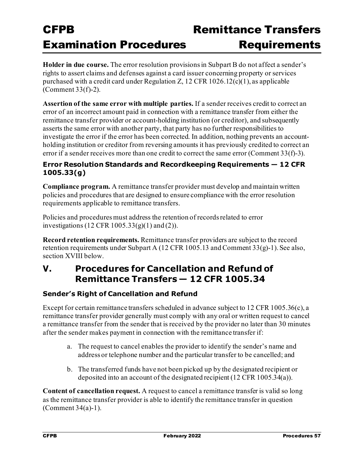**Holder in due course.** The error resolution provisions in Subpart B do not affect a sender's rights to assert claims and defenses against a card issuer concerning property or services purchased with a credit card under Regulation Z, 12 CFR 1026.12(c)(1), as applicable (Comment 33(f)-2).

**Assertion of the same error with multiple parties.** If a sender receives credit to correct an error of an incorrect amount paid in connection with a remittance transfer from either the remittance transfer provider or account-holding institution (or creditor), and subsequently asserts the same error with another party, that party has no further responsibilities to investigate the error if the error has been corrected. In addition, nothing prevents an accountholding institution or creditor from reversing amounts it has previously credited to correct an error if a sender receives more than one credit to correct the same error (Comment 33(f)-3).

#### **Error Resolution Standards and Recordkeeping Requirements — 12 CFR 1005.33(g)**

**Compliance program.** A remittance transfer provider must develop and maintain written policies and procedures that are designed to ensure compliance with the error resolution requirements applicable to remittance transfers.

Policies and procedures must address the retention of records related to error investigations (12 CFR 1005.33(g)(1) and (2)).

**Record retention requirements.** Remittance transfer providers are subject to the record retention requirements under Subpart A (12 CFR 1005.13 and Comment 33(g)-1). See also, section XVIII below.

### **V. Procedures for Cancellation and Refund of Remittance Transfers — 12 CFR 1005.34**

#### **Sender's Right of Cancellation and Refund**

Except for certain remittance transfers scheduled in advance subject to 12 CFR 1005.36(c), a remittance transfer provider generally must comply with any oral or written request to cancel a remittance transfer from the sender that is received by the provider no later than 30 minutes after the sender makes payment in connection with the remittance transfer if:

- a. The request to cancel enables the provider to identify the sender's name and address or telephone number and the particular transfer to be cancelled; and
- b. The transferred funds have not been picked up by the designated recipient or deposited into an account of the designated recipient (12 CFR 1005.34(a)).

**Content of cancellation request.** A request to cancel a remittance transfer is valid so long as the remittance transfer provider is able to identify the remittance transfer in question (Comment 34(a)-1).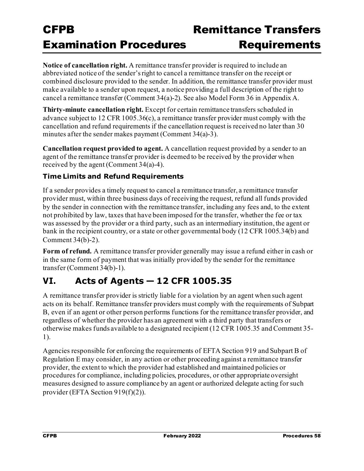### Remittance Transfer **Requirements**

**Notice of cancellation right.** A remittance transfer provider is required to include an abbreviated notice of the sender's right to cancel a remittance transfer on the receipt or combined disclosure provided to the sender. In addition, the remittance transfer provider must make available to a sender upon request, a notice providing a full description of the right to cancel a remittance transfer (Comment 34(a)-2). See also Model Form 36 in Appendix A.

**Thirty-minute cancellation right.** Except for certain remittance transfers scheduled in advance subject to 12 CFR 1005.36(c), a remittance transfer provider must comply with the cancellation and refund requirements if the cancellation request is received no later than 30 minutes after the sender makes payment (Comment 34(a)-3).

**Cancellation request provided to agent.** A cancellation request provided by a sender to an agent of the remittance transfer provider is deemed to be received by the provider when received by the agent (Comment 34(a)-4).

#### **Time Limits and Refund Requirements**

If a sender provides a timely request to cancel a remittance transfer, a remittance transfer provider must, within three business days of receiving the request, refund all funds provided by the sender in connection with the remittance transfer, including any fees and, to the extent not prohibited by law, taxes that have been imposed for the transfer, whether the fee or tax was assessed by the provider or a third party, such as an intermediary institution, the agent or bank in the recipient country, or a state or other governmental body (12 CFR 1005.34(b) and Comment 34(b)-2).

**Form of refund.** A remittance transfer provider generally may issue a refund either in cash or in the same form of payment that was initially provided by the sender for the remittance transfer (Comment 34(b)-1).

### **VI. Acts of Agents — 12 CFR 1005.35**

A remittance transfer provider is strictly liable for a violation by an agent when such agent acts on its behalf. Remittance transfer providers must comply with the requirements of Subpart B, even if an agent or other person performs functions for the remittance transfer provider, and regardless of whether the provider has an agreement with a third party that transfers or otherwise makes funds available to a designated recipient (12 CFR 1005.35 and Comment 35- 1).

Agencies responsible for enforcing the requirements of EFTA Section 919 and Subpart B of Regulation E may consider, in any action or other proceeding against a remittance transfer provider, the extent to which the provider had established and maintained policies or procedures for compliance, including policies, procedures, or other appropriate oversight measures designed to assure compliance by an agent or authorized delegate acting for such provider (EFTA Section 919(f)(2)).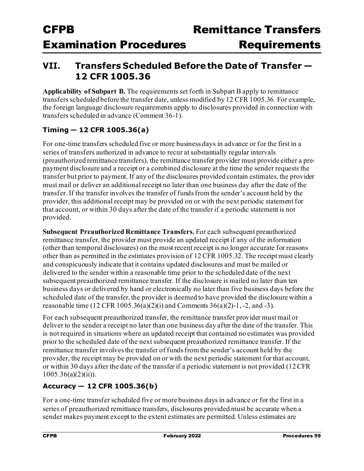### **VII. Transfers Scheduled Before the Dateof Transfer — 12 CFR 1005.36**

**Applicability of Subpart B.** The requirements set forth in Subpart B apply to remittance transfers scheduled before the transfer date, unless modified by 12 CFR 1005.36. For example, the foreign language disclosure requirements apply to disclosures provided in connection with transfers scheduled in advance (Comment 36-1).

#### **Timing — 12 CFR 1005.36(a)**

For one-time transfers scheduled five or more business days in advance or for the first in a series of transfers authorized in advance to recur at substantially regular intervals (preauthorized remittance transfers), the remittance transfer provider must provide either a prepayment disclosure and a receipt or a combined disclosure at the time the sender requests the transfer but prior to payment. If any of the disclosures provided contain estimates, the provider must mail or deliver an additional receipt no later than one business day after the date of the transfer. If the transfer involves the transfer of funds from the sender's account held by the provider, this additional receipt may be provided on or with the next periodic statement for that account, or within 30 days after the date of the transfer if a periodic statement is not provided.

**Subsequent Preauthorized Remittance Transfers.** For each subsequent preauthorized remittance transfer, the provider must provide an updated receipt if any of the information (other than temporal disclosures) on the most recent receipt is no longer accurate for reasons other than as permitted in the estimates provision of 12 CFR 1005.32. The receipt must clearly and conspicuously indicate that it contains updated disclosures and must be mailed or delivered to the sender within a reasonable time prior to the scheduled date of the next subsequent preauthorized remittance transfer. If the disclosure is mailed no later than ten business days or delivered by hand or electronically no later than five business days before the scheduled date of the transfer, the provider is deemed to have provided the disclosure within a reasonable time (12 CFR 1005.36(a)(2)(i) and Comments  $36(a)(2)-1, -2,$  and  $-3$ ).

For each subsequent preauthorized transfer, the remittance transfer provider must mail or deliver to the sender a receipt no later than one business day after the date of the transfer. This is not required in situations where an updated receipt that contained no estimates was provided prior to the scheduled date of the next subsequent preauthorized remittance transfer. If the remittance transfer involves the transfer of funds from the sender's account held by the provider, the receipt may be provided on or with the next periodic statement for that account, or within 30 days after the date of the transfer if a periodic statement is not provided (12 CFR  $1005.36(a)(2)(ii)$ ).

#### **Accuracy — 12 CFR 1005.36(b)**

For a one-time transfer scheduled five or more business days in advance or for the first in a series of preauthorized remittance transfers, disclosures provided must be accurate when a sender makes payment except to the extent estimates are permitted. Unless estimates are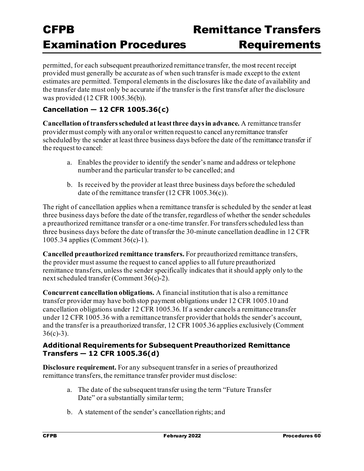# Remittance Transfer

permitted, for each subsequent preauthorized remittance transfer, the most recent receipt provided must generally be accurate as of when such transfer is made except to the extent estimates are permitted. Temporal elements in the disclosures like the date of availability and the transfer date must only be accurate if the transfer is the first transfer after the disclosure was provided (12 CFR 1005.36(b)).

#### **Cancellation — 12 CFR 1005.36(c)**

**Cancellation of transfers scheduled at least three days in advance.** A remittance transfer providermust comply with any oral or written requestto cancel anyremittance transfer scheduled by the sender at least three business days before the date of the remittance transfer if the request to cancel:

- a. Enables the provider to identify the sender's name and address or telephone number and the particular transfer to be cancelled; and
- b. Is received by the provider at least three business days before the scheduled date of the remittance transfer (12 CFR 1005.36(c)).

The right of cancellation applies when a remittance transfer is scheduled by the sender at least three business days before the date of the transfer, regardless of whether the sender schedules a preauthorized remittance transfer or a one-time transfer. For transfers scheduled less than three business days before the date of transfer the 30-minute cancellation deadline in 12 CFR 1005.34 applies (Comment 36(c)-1).

**Cancelled preauthorized remittance transfers.** For preauthorized remittance transfers, the provider must assume the request to cancel applies to all future preauthorized remittance transfers, unless the sender specifically indicates that it should apply only to the next scheduled transfer (Comment 36(c)-2).

**Concurrent cancellation obligations.** A financial institution that is also a remittance transfer provider may have both stop payment obligations under 12 CFR 1005.10 and cancellation obligations under 12 CFR 1005.36. If a sender cancels a remittance transfer under 12 CFR 1005.36 with a remittance transfer provider that holds the sender's account, and the transfer is a preauthorized transfer, 12 CFR 1005.36 applies exclusively (Comment  $36(c)-3$ ).

#### **Additional Requirements for Subsequent Preauthorized Remittance Transfers — 12 CFR 1005.36(d)**

**Disclosure requirement.** For any subsequent transfer in a series of preauthorized remittance transfers, the remittance transfer provider must disclose:

- a. The date of the subsequent transfer using the term "Future Transfer Date" or a substantially similar term;
- b. A statement of the sender's cancellation rights; and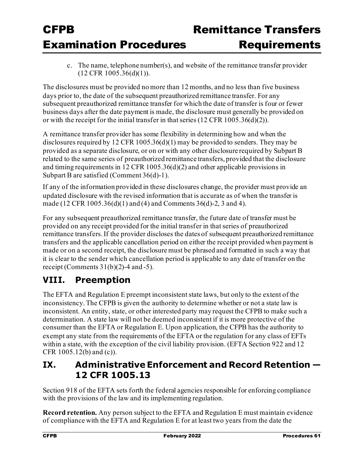c. The name, telephone number(s), and website of the remittance transfer provider (12 CFR 1005.36(d)(1)).

The disclosures must be provided no more than 12 months, and no less than five business days prior to, the date of the subsequent preauthorized remittance transfer. For any subsequent preauthorized remittance transfer for which the date of transfer is four or fewer business days after the date payment is made, the disclosure must generally be provided on or with the receipt for the initial transfer in that series (12 CFR 1005.36(d)(2)).

A remittance transfer provider has some flexibility in determining how and when the disclosures required by 12 CFR 1005.36(d)(1) may be provided to senders. They may be provided as a separate disclosure, or on or with any other disclosure required by Subpart B related to the same series of preauthorized remittance transfers, provided that the disclosure and timing requirements in 12 CFR 1005.36(d)(2) and other applicable provisions in Subpart B are satisfied (Comment 36(d)-1).

If any of the information provided in these disclosures change, the provider must provide an updated disclosure with the revised information that is accurate as of when the transfer is made (12 CFR 1005.36(d)(1) and (4) and Comments 36(d)-2, 3 and 4).

For any subsequent preauthorized remittance transfer, the future date of transfer must be provided on any receipt provided for the initial transfer in that series of preauthorized remittance transfers. If the provider discloses the dates of subsequent preauthorized remittance transfers and the applicable cancellation period on either the receipt provided when payment is made or on a second receipt, the disclosure must be phrased and formatted in such a way that it is clear to the sender which cancellation period is applicable to any date of transfer on the receipt (Comments  $31(b)(2)-4$  and  $-5$ ).

### **VIII. Preemption**

The EFTA and Regulation E preempt inconsistent state laws, but only to the extent of the inconsistency. The CFPB is given the authority to determine whether or not a state law is inconsistent. An entity, state, or other interested party may request the CFPB to make such a determination. A state law will not be deemed inconsistent if it is more protective of the consumer than the EFTA or Regulation E. Upon application, the CFPB has the authority to exempt any state from the requirements of the EFTA or the regulation for any class of EFTs within a state, with the exception of the civil liability provision. (EFTA Section 922 and 12 CFR 1005.12(b) and (c)).

### **IX. Administrative Enforcement and Record Retention — 12 CFR 1005.13**

Section 918 of the EFTA sets forth the federal agencies responsible for enforcing compliance with the provisions of the law and its implementing regulation.

**Record retention.** Any person subject to the EFTA and Regulation E must maintain evidence of compliance with the EFTA and Regulation E for at least two years from the date the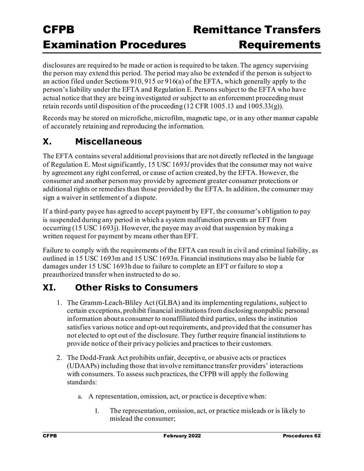disclosures are required to be made or action is required to be taken. The agency supervising the person may extend this period. The period may also be extended if the person is subject to an action filed under Sections 910, 915 or 916(a) of the EFTA, which generally apply to the person's liability under the EFTA and Regulation E. Persons subject to the EFTA who have actual notice that they are being investigated or subject to an enforcement proceeding must retain records until disposition of the proceeding (12 CFR 1005.13 and 1005.33(g)).

Records may be stored on microfiche, microfilm, magnetic tape, or in any other manner capable of accurately retaining and reproducing the information.

### **X. Miscellaneous**

The EFTA contains several additional provisions that are not directly reflected in the language of Regulation E. Most significantly, 15 USC 1693*l* provides that the consumer may not waive by agreement any right conferred, or cause of action created, by the EFTA. However, the consumer and another person may provide by agreement greater consumer protections or additional rights or remedies than those provided by the EFTA. In addition, the consumer may sign a waiver in settlement of a dispute.

If a third-party payee has agreed to accept payment by EFT, the consumer's obligation to pay is suspended during any period in which a system malfunction prevents an EFT from occurring (15 USC 1693j). However, the payee may avoid that suspension by making a written request for payment by means other than EFT.

Failure to comply with the requirements of the EFTA can result in civil and criminal liability, as outlined in 15 USC 1693m and 15 USC 1693n. Financial institutions may also be liable for damages under 15 USC 1693h due to failure to complete an EFT or failure to stop a preauthorized transfer when instructed to do so.

### **XI. Other Risks to Consumers**

- 1. The Gramm-Leach-Bliley Act (GLBA) and its implementing regulations, subject to certain exceptions, prohibit financial institutions from disclosing nonpublic personal information about a consumer to nonaffiliated third parties, unless the institution satisfies various notice and opt-out requirements, and provided that the consumer has not elected to opt out of the disclosure. They further require financial institutions to provide notice of their privacy policies and practices to their customers.
- 2. The Dodd-Frank Act prohibits unfair, deceptive, or abusive acts or practices (UDAAPs) including those that involve remittance transfer providers' interactions with consumers. To assess such practices, the CFPB will apply the following standards:
	- a. A representation, omission, act, or practice is deceptive when:
		- I. The representation, omission, act, or practice misleads or is likely to mislead the consumer;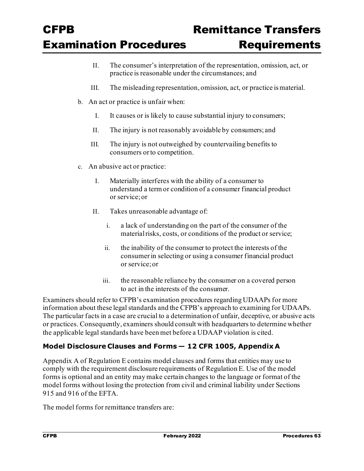- II. The consumer's interpretation of the representation, omission, act, or practice is reasonable under the circumstances; and
- III. The misleading representation, omission, act, or practice ismaterial.
- b. An act or practice is unfair when:
	- I. It causes or is likely to cause substantial injury to consumers;
	- II. The injury is not reasonably avoidable by consumers; and
	- III. The injury is not outweighed by countervailing benefits to consumers orto competition.
- c. An abusive act or practice:
	- I. Materially interferes with the ability of a consumer to understand a term or condition of a consumer financial product or service;or
	- II. Takes unreasonable advantage of:
		- i. a lack of understanding on the part of the consumer of the material risks, costs, or conditions of the product or service;
		- ii. the inability of the consumer to protect the interests of the consumerin selecting or using a consumer financial product or service;or
		- iii. the reasonable reliance by the consumer on a covered person to act in the interests of the consumer.

Examiners should refer to CFPB's examination procedures regarding UDAAPs for more information about these legal standards and the CFPB's approach to examining for UDAAPs. The particular facts in a case are crucial to a determination of unfair, deceptive, or abusive acts or practices. Consequently, examiners should consult with headquarters to determine whether the applicable legal standards have been met before a UDAAP violation is cited.

#### **Model Disclosure Clauses and Forms — 12 CFR 1005, Appendix A**

Appendix A of Regulation E contains model clauses and forms that entities may use to comply with the requirement disclosure requirements of Regulation E. Use of the model forms is optional and an entity may make certain changes to the language or format of the model forms without losing the protection from civil and criminal liability under Sections 915 and 916 of the EFTA.

The model forms for remittance transfers are: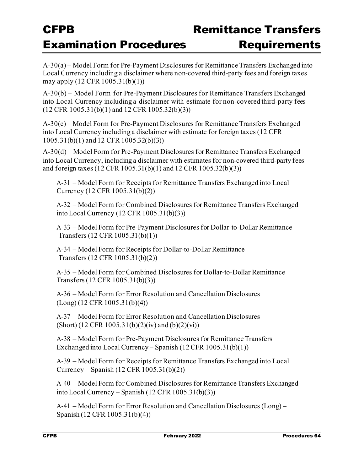### Remittance Transfer **Requirements**

A-30(a) – Model Form for Pre-Payment Disclosures for Remittance Transfers Exchanged into Local Currency including a disclaimer where non-covered third-party fees and foreign taxes may apply (12 CFR 1005.31(b)(1))

A-30(b) – Model Form for Pre-Payment Disclosures for Remittance Transfers Exchanged into Local Currency including a disclaimer with estimate for non-covered third-party fees (12 CFR 1005.31(b)(1) and 12 CFR 1005.32(b)(3))

A-30(c) – Model Form for Pre-Payment Disclosures for Remittance Transfers Exchanged into Local Currency including a disclaimer with estimate for foreign taxes (12 CFR 1005.31(b)(1) and 12 CFR 1005.32(b)(3))

A-30(d) – Model Form for Pre-Payment Disclosures for Remittance Transfers Exchanged into Local Currency, including a disclaimer with estimates for non-covered third-party fees and foreign taxes (12 CFR 1005.31(b)(1) and 12 CFR 1005.32(b)(3))

A-31 – Model Form for Receipts for Remittance Transfers Exchanged into Local Currency (12 CFR 1005.31(b)(2))

A-32 – Model Form for Combined Disclosures for Remittance Transfers Exchanged into Local Currency (12 CFR 1005.31(b)(3))

A-33 – Model Form for Pre-Payment Disclosures for Dollar-to-Dollar Remittance Transfers (12 CFR 1005.31(b)(1))

A-34 – Model Form for Receipts for Dollar-to-Dollar Remittance Transfers (12 CFR 1005.31(b)(2))

A-35 – Model Form for Combined Disclosures for Dollar-to-Dollar Remittance Transfers (12 CFR 1005.31(b)(3))

A-36 – Model Form for Error Resolution and Cancellation Disclosures (Long) (12 CFR 1005.31(b)(4))

A-37 – Model Form for Error Resolution and Cancellation Disclosures  $(Short)$  (12 CFR 1005.31(b)(2)(iv) and (b)(2)(vi))

A-38 – Model Form for Pre-Payment Disclosures for Remittance Transfers Exchanged into Local Currency – Spanish (12 CFR 1005.31(b)(1))

A-39 – Model Form for Receipts for Remittance Transfers Exchanged into Local Currency – Spanish (12 CFR 1005.31(b)(2))

A-40 – Model Form for Combined Disclosures for Remittance Transfers Exchanged into Local Currency – Spanish (12 CFR 1005.31(b)(3))

A-41 – Model Form for Error Resolution and Cancellation Disclosures (Long) – Spanish (12 CFR 1005.31(b)(4))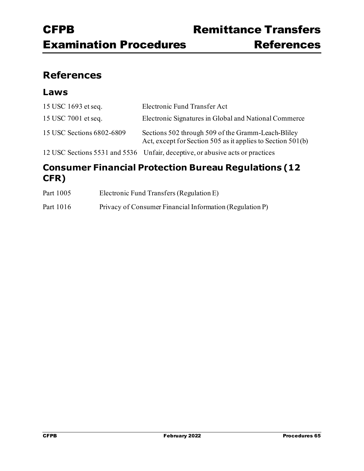### **References**

#### **Laws**

| 15 USC 1693 et seq.       | Electronic Fund Transfer Act                                                                                      |
|---------------------------|-------------------------------------------------------------------------------------------------------------------|
| 15 USC 7001 et seq.       | Electronic Signatures in Global and National Commerce                                                             |
| 15 USC Sections 6802-6809 | Sections 502 through 509 of the Gramm-Leach-Bliley<br>Act, except for Section 505 as it applies to Section 501(b) |
|                           | 12 USC Sections 5531 and 5536 Unfair, deceptive, or abusive acts or practices                                     |

### **Consumer Financial Protection Bureau Regulations (12 CFR)**

| Part 1005 | Electronic Fund Transfers (Regulation E)                 |
|-----------|----------------------------------------------------------|
| Part 1016 | Privacy of Consumer Financial Information (Regulation P) |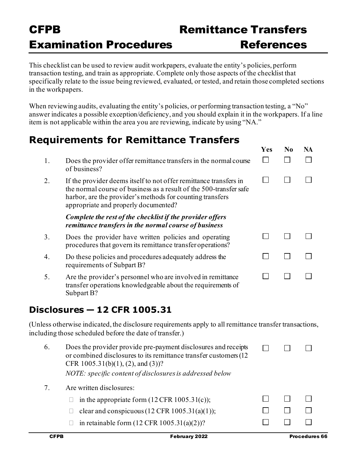This checklist can be used to review audit workpapers, evaluate the entity's policies, perform transaction testing, and train as appropriate. Complete only those aspects of the checklist that specifically relate to the issue being reviewed, evaluated, or tested, and retain those completed sections in the workpapers.

When reviewing audits, evaluating the entity's policies, or performing transaction testing, a "No" answer indicates a possible exception/deficiency, and you should explain it in the workpapers. If a line item is not applicable within the area you are reviewing, indicate by using "NA."

|    | <b>Requirements for Remittance Transfers</b>                                                                                                                                                                                                 |            |                |    |
|----|----------------------------------------------------------------------------------------------------------------------------------------------------------------------------------------------------------------------------------------------|------------|----------------|----|
|    |                                                                                                                                                                                                                                              | <b>Yes</b> | N <sub>0</sub> | NA |
| 1. | Does the provider offer remittance transfers in the normal course<br>of business?                                                                                                                                                            |            |                |    |
| 2. | If the provider deems itself to not offer remittance transfers in<br>the normal course of business as a result of the 500-transfer safe<br>harbor, are the provider's methods for counting transfers<br>appropriate and properly documented? |            |                |    |
|    | Complete the rest of the checklist if the provider offers<br>remittance transfers in the normal course of business                                                                                                                           |            |                |    |
| 3. | Does the provider have written policies and operating<br>procedures that govern its remittance transfer operations?                                                                                                                          |            |                |    |
| 4. | Do these policies and procedures adequately address the<br>requirements of Subpart B?                                                                                                                                                        |            |                |    |
| 5. | Are the provider's personnel who are involved in remittance<br>transfer operations knowledgeable about the requirements of<br>Subpart B?                                                                                                     |            |                |    |

### **Disclosures — 12 CFR 1005.31**

(Unless otherwise indicated, the disclosure requirements apply to all remittance transfer transactions, including those scheduled before the date of transfer.)

| 6. | Does the provider provide pre-payment disclosures and receipts<br>or combined disclosures to its remittance transfer customers (12)<br>CFR $1005.31(b)(1)$ , (2), and (3))?<br>NOTE: specific content of disclosures is addressed below |  |  |
|----|-----------------------------------------------------------------------------------------------------------------------------------------------------------------------------------------------------------------------------------------|--|--|
|    | Are written disclosures:                                                                                                                                                                                                                |  |  |
|    | in the appropriate form $(12 \text{ CFR } 1005.31(c))$ ;                                                                                                                                                                                |  |  |
|    | clear and conspicuous $(12 \text{ CFR } 1005.31(a)(1));$                                                                                                                                                                                |  |  |
|    | in retainable form $(12 \text{ CFR } 1005.31(a)(2))$ ?                                                                                                                                                                                  |  |  |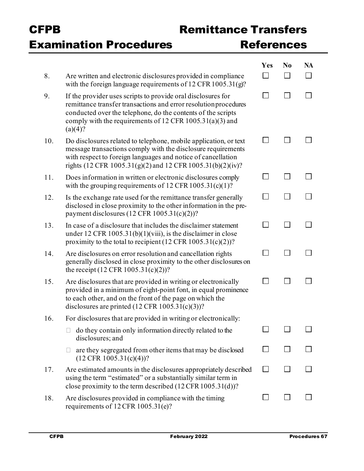### Remittance Transfer References

|     |                                                                                                                                                                                                                                                                           | Yes            | N <sub>0</sub> | <b>NA</b> |
|-----|---------------------------------------------------------------------------------------------------------------------------------------------------------------------------------------------------------------------------------------------------------------------------|----------------|----------------|-----------|
| 8.  | Are written and electronic disclosures provided in compliance<br>with the foreign language requirements of $12$ CFR $1005.31$ (g)?                                                                                                                                        |                |                |           |
| 9.  | If the provider uses scripts to provide oral disclosures for<br>remittance transfer transactions and error resolution procedures<br>conducted over the telephone, do the contents of the scripts<br>comply with the requirements of 12 CFR $1005.31(a)(3)$ and<br>(a)(4)? | $\blacksquare$ | <b>I</b>       |           |
| 10. | Do disclosures related to telephone, mobile application, or text<br>message transactions comply with the disclosure requirements<br>with respect to foreign languages and notice of cancellation<br>rights (12 CFR 1005.31(g)(2) and 12 CFR 1005.31(b)(2)(iv)?            | $\mathsf{L}$   |                |           |
| 11. | Does information in written or electronic disclosures comply<br>with the grouping requirements of 12 CFR $1005.31(c)(1)$ ?                                                                                                                                                |                |                |           |
| 12. | Is the exchange rate used for the remittance transfer generally<br>disclosed in close proximity to the other information in the pre-<br>payment disclosures $(12 \text{ CFR } 1005.31(c)(2))$ ?                                                                           |                |                |           |
| 13. | In case of a disclosure that includes the disclaimer statement<br>under 12 CFR $1005.31(b)(1)(viii)$ , is the disclaimer in close<br>proximity to the total to recipient (12 CFR $1005.31(c)(2)$ )?                                                                       |                |                |           |
| 14. | Are disclosures on error resolution and cancellation rights<br>generally disclosed in close proximity to the other disclosures on<br>the receipt $(12 \text{ CFR } 1005.31(c)(2))$ ?                                                                                      |                |                |           |
| 15. | Are disclosures that are provided in writing or electronically<br>provided in a minimum of eight-point font, in equal prominence<br>to each other, and on the front of the page on which the<br>disclosures are printed $(12 \text{ CFR } 1005.31(c)(3))$ ?               |                |                |           |
| 16. | For disclosures that are provided in writing or electronically:                                                                                                                                                                                                           |                |                |           |
|     | do they contain only information directly related to the<br>disclosures; and                                                                                                                                                                                              |                |                |           |
|     | are they segregated from other items that may be disclosed<br>$(12 \text{ CFR } 1005.31(c)(4))$ ?                                                                                                                                                                         |                |                |           |
| 17. | Are estimated amounts in the disclosures appropriately described<br>using the term "estimated" or a substantially similar term in<br>close proximity to the term described (12 CFR 1005.31(d))?                                                                           | $\mathsf{I}$   |                |           |
| 18. | Are disclosures provided in compliance with the timing<br>requirements of 12 CFR 1005.31(e)?                                                                                                                                                                              |                |                |           |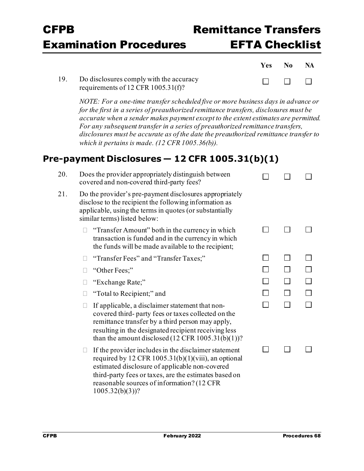# Remittance Transfer EFTA Checklist

| Yes            | N <sub>0</sub> | <b>NA</b>    |
|----------------|----------------|--------------|
| $\blacksquare$ | $\mathbf{I}$   | $\mathbf{I}$ |

19. Do disclosures comply with the accuracy requirements of 12 CFR 1005.31(f)?

> *NOTE: For a one-time transfer scheduled five or more business days in advance or for the first in a series of preauthorized remittance transfers, disclosures must be accurate when a sender makes payment except to the extent estimates are permitted. For any subsequent transfer in a series of preauthorized remittance transfers, disclosures must be accurate as of the date the preauthorized remittance transfer to which it pertains is made. (12 CFR 1005.36(b)).*

### **Pre-payment Disclosures — 12 CFR 1005.31(b)(1)**

| 20. | Does the provider appropriately distinguish between<br>covered and non-covered third-party fees?                                                                                                                                                                                         |  |  |
|-----|------------------------------------------------------------------------------------------------------------------------------------------------------------------------------------------------------------------------------------------------------------------------------------------|--|--|
| 21. | Do the provider's pre-payment disclosures appropriately<br>disclose to the recipient the following information as<br>applicable, using the terms in quotes (or substantially<br>similar terms) listed below:                                                                             |  |  |
|     | "Transfer Amount" both in the currency in which<br>transaction is funded and in the currency in which<br>the funds will be made available to the recipient;                                                                                                                              |  |  |
|     | "Transfer Fees" and "Transfer Taxes;"                                                                                                                                                                                                                                                    |  |  |
|     | "Other Fees;"                                                                                                                                                                                                                                                                            |  |  |
|     | "Exchange Rate;"                                                                                                                                                                                                                                                                         |  |  |
|     | "Total to Recipient;" and                                                                                                                                                                                                                                                                |  |  |
|     | If applicable, a disclaimer statement that non-<br>Ш<br>covered third- party fees or taxes collected on the<br>remittance transfer by a third person may apply,<br>resulting in the designated recipient receiving less<br>than the amount disclosed $(12 \text{ CFR } 1005.31(b)(1))$ ? |  |  |
|     | If the provider includes in the disclaimer statement<br>Ц<br>required by 12 CFR 1005.31(b)(1)(viii), an optional<br>estimated disclosure of applicable non-covered<br>third-party fees or taxes, are the estimates based on                                                              |  |  |

reasonable sources of information? (12 CFR

 $1005.32(b)(3)$ ?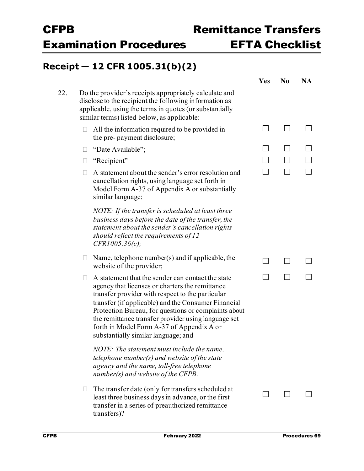### **Receipt — 12 CFR 1005.31(b)(2)**

|     |        |                                                                                                                                                                                                                                                                                                                                                                                                                    | Yes            | N <sub>0</sub> | <b>NA</b> |
|-----|--------|--------------------------------------------------------------------------------------------------------------------------------------------------------------------------------------------------------------------------------------------------------------------------------------------------------------------------------------------------------------------------------------------------------------------|----------------|----------------|-----------|
| 22. |        | Do the provider's receipts appropriately calculate and<br>disclose to the recipient the following information as<br>applicable, using the terms in quotes (or substantially<br>similar terms) listed below, as applicable:                                                                                                                                                                                         |                |                |           |
|     | $\Box$ | All the information required to be provided in<br>the pre-payment disclosure;                                                                                                                                                                                                                                                                                                                                      | $\blacksquare$ | $\blacksquare$ |           |
|     | u      | "Date Available";                                                                                                                                                                                                                                                                                                                                                                                                  |                |                |           |
|     | $\Box$ | "Recipient"                                                                                                                                                                                                                                                                                                                                                                                                        |                |                |           |
|     | П.     | A statement about the sender's error resolution and<br>cancellation rights, using language set forth in<br>Model Form A-37 of Appendix A or substantially<br>similar language;                                                                                                                                                                                                                                     |                |                |           |
|     |        | NOTE: If the transfer is scheduled at least three<br>business days before the date of the transfer, the<br>statement about the sender's cancellation rights<br>should reflect the requirements of $12$<br>CFR1005.36(c);                                                                                                                                                                                           |                |                |           |
|     | $\Box$ | Name, telephone number(s) and if applicable, the<br>website of the provider;                                                                                                                                                                                                                                                                                                                                       | $\blacksquare$ |                |           |
|     | П      | A statement that the sender can contact the state<br>agency that licenses or charters the remittance<br>transfer provider with respect to the particular<br>transfer (if applicable) and the Consumer Financial<br>Protection Bureau, for questions or complaints about<br>the remittance transfer provider using language set<br>forth in Model Form A-37 of Appendix A or<br>substantially similar language; and |                |                |           |
|     |        | NOTE: The statement must include the name,<br>telephone number(s) and website of the state<br>agency and the name, toll-free telephone<br>$number(s)$ and website of the CFPB.                                                                                                                                                                                                                                     |                |                |           |
|     | L.     | The transfer date (only for transfers scheduled at<br>least three business days in advance, or the first<br>transfer in a series of preauthorized remittance<br>transfers)?                                                                                                                                                                                                                                        |                |                |           |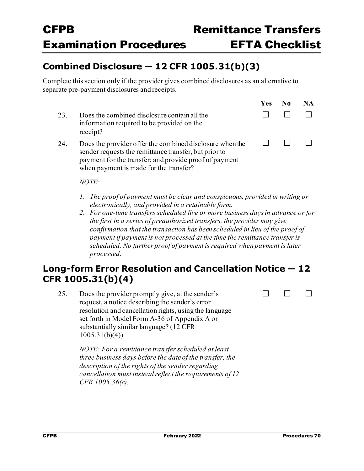$\Box$ 

 $\Box$ 

 $\Box$ 

### **Combined Disclosure — 12 CFR 1005.31(b)(3)**

Complete this section only if the provider gives combined disclosures as an alternative to separate pre-payment disclosures and receipts.

|     |                                                                                                                                                                                                                       | <b>Yes</b> | NА |
|-----|-----------------------------------------------------------------------------------------------------------------------------------------------------------------------------------------------------------------------|------------|----|
| 23. | Does the combined disclosure contain all the<br>information required to be provided on the<br>receipt?                                                                                                                |            |    |
| 24. | Does the provider offer the combined disclosure when the<br>sender requests the remittance transfer, but prior to<br>payment for the transfer; and provide proof of payment<br>when payment is made for the transfer? |            |    |

*NOTE:*

- *1. The proof of payment must be clear and conspicuous, provided in writing or electronically, and provided in a retainable form.*
- *2. For one-time transfers scheduled five or more business days in advance or for the first in a series of preauthorized transfers, the provider may give confirmation that the transaction has been scheduled in lieu of the proof of payment if payment is not processed at the time the remittance transfer is scheduled. No further proof of payment is required when payment is later processed.*

### **Long-form Error Resolution and Cancellation Notice — 12 CFR 1005.31(b)(4)**

25. Does the provider promptly give, at the sender's request, a notice describing the sender's error resolution and cancellation rights, using the language set forth in Model Form A-36 of Appendix A or substantially similar language? (12 CFR 1005.31(b)(4)).

> *NOTE: For a remittance transfer scheduled at least three business days before the date of the transfer, the description of the rights of the sender regarding cancellation must instead reflect the requirements of 12 CFR 1005.36(c).*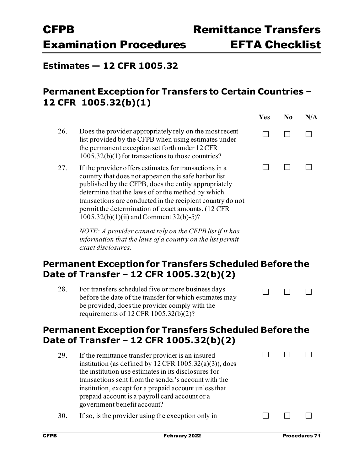**Yes No N/A**

 $\Box$ 

 $\Box$ 

#### **Estimates — 12 CFR 1005.32**

### **Permanent Exception for Transfers to Certain Countries – 12 CFR 1005.32(b)(1)**

26. Does the provider appropriately rely on the most recent  $\Box$  $\Box$ list provided by the CFPB when using estimates under the permanent exception set forth under 12 CFR 1005.32(b)(1)for transactions to those countries?  $\Box$  $\Box$ 27. If the provider offers estimates for transactions in a country that does not appear on the safe harbor list published by the CFPB, does the entity appropriately determine that the laws of or the method by which transactions are conducted in the recipient country do not permit the determination of exact amounts. (12 CFR 1005.32(b)(1)(ii) and Comment 32(b)-5)?

> *NOTE: A provider cannot rely on the CFPB list if it has information that the laws of a country on the list permit exact disclosures.*

### **Permanent Exception for Transfers Scheduled Before the Date of Transfer – 12 CFR 1005.32(b)(2)**

| 28. | For transfers scheduled five or more business days      | $\Box$ |  |
|-----|---------------------------------------------------------|--------|--|
|     | before the date of the transfer for which estimates may |        |  |
|     | be provided, does the provider comply with the          |        |  |
|     | requirements of $12$ CFR $1005.32(b)(2)$ ?              |        |  |

### **Permanent Exception for Transfers Scheduled Before the Date of Transfer – 12 CFR 1005.32(b)(2)**

| 29. | If the remittance transfer provider is an insured<br>institution (as defined by $12$ CFR $1005.32(a)(3)$ ), does<br>the institution use estimates in its disclosures for<br>transactions sent from the sender's account with the<br>institution, except for a prepaid account unless that<br>prepaid account is a payroll card account or a<br>government benefit account? |  |  |
|-----|----------------------------------------------------------------------------------------------------------------------------------------------------------------------------------------------------------------------------------------------------------------------------------------------------------------------------------------------------------------------------|--|--|
| 30. | If so, is the provider using the exception only in                                                                                                                                                                                                                                                                                                                         |  |  |
|     |                                                                                                                                                                                                                                                                                                                                                                            |  |  |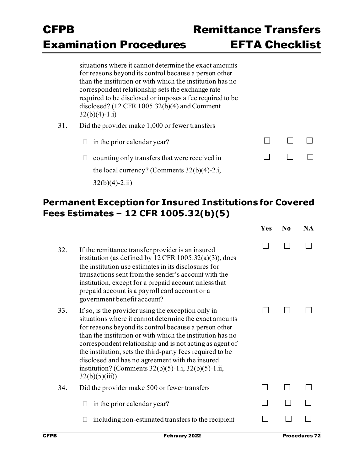situations where it cannot determine the exact amounts for reasons beyond its control because a person other than the institution or with which the institution has no correspondent relationship sets the exchange rate required to be disclosed or imposes a fee required to be disclosed? (12 CFR 1005.32(b)(4) and Comment  $32(b)(4)-1.1)$ 

- 31. Did the provider make 1,000 or fewer transfers
	- $\Box$  in the prior calendar year?
	- $\Box$  counting only transfers that were received in the local currency? (Comments 32(b)(4)-2.i,  $32(b)(4) - 2.ii)$

| $\Box$ | $\Box$ | $\sim$ 1 1       |
|--------|--------|------------------|
| $\Box$ | $\Box$ | and the property |

### **Permanent Exception for Insured Institutions for Covered Fees Estimates – 12 CFR 1005.32(b)(5)**

|     |                                                                                                                                                                                                                                                                                                                                                                                                                                                                                                 | Yes | $\bf N_0$ | <b>NA</b> |
|-----|-------------------------------------------------------------------------------------------------------------------------------------------------------------------------------------------------------------------------------------------------------------------------------------------------------------------------------------------------------------------------------------------------------------------------------------------------------------------------------------------------|-----|-----------|-----------|
| 32. | If the remittance transfer provider is an insured<br>institution (as defined by $12$ CFR $1005.32(a)(3)$ ), does<br>the institution use estimates in its disclosures for<br>transactions sent from the sender's account with the<br>institution, except for a prepaid account unless that<br>prepaid account is a payroll card account or a<br>government benefit account?                                                                                                                      |     |           |           |
| 33. | If so, is the provider using the exception only in<br>situations where it cannot determine the exact amounts<br>for reasons beyond its control because a person other<br>than the institution or with which the institution has no<br>correspondent relationship and is not acting as agent of<br>the institution, sets the third-party fees required to be<br>disclosed and has no agreement with the insured<br>institution? (Comments $32(b)(5) - 1.i$ , $32(b)(5) - 1.i$ ,<br>32(b)(5)(iii) |     |           |           |
| 34. | Did the provider make 500 or fewer transfers                                                                                                                                                                                                                                                                                                                                                                                                                                                    |     |           |           |
|     | in the prior calendar year?                                                                                                                                                                                                                                                                                                                                                                                                                                                                     |     |           |           |
|     | including non-estimated transfers to the recipient                                                                                                                                                                                                                                                                                                                                                                                                                                              |     |           |           |
|     |                                                                                                                                                                                                                                                                                                                                                                                                                                                                                                 |     |           |           |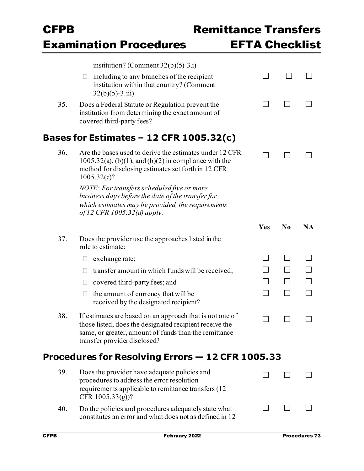|     | <b>Examination Procedures</b>                                                                                                                                                                                | <b>EFTA Checklist</b> |                |           |
|-----|--------------------------------------------------------------------------------------------------------------------------------------------------------------------------------------------------------------|-----------------------|----------------|-----------|
|     | institution? (Comment $32(b)(5)-3.i$ )                                                                                                                                                                       |                       |                |           |
|     | including to any branches of the recipient<br>institution within that country? (Comment<br>$32(b)(5)-3.iii)$                                                                                                 |                       |                |           |
| 35. | Does a Federal Statute or Regulation prevent the<br>institution from determining the exact amount of<br>covered third-party fees?                                                                            |                       |                |           |
|     | <b>Bases for Estimates - 12 CFR 1005.32(c)</b>                                                                                                                                                               |                       |                |           |
| 36. | Are the bases used to derive the estimates under 12 CFR<br>$1005.32(a)$ , $(b)(1)$ , and $(b)(2)$ in compliance with the<br>method for disclosing estimates set forth in 12 CFR<br>1005.32(c)?               |                       |                |           |
|     | NOTE: For transfers scheduled five or more<br>business days before the date of the transfer for<br>which estimates may be provided, the requirements<br>of 12 CFR 1005.32(d) apply.                          |                       |                |           |
|     |                                                                                                                                                                                                              | Yes                   | N <sub>0</sub> | <b>NA</b> |
| 37. | Does the provider use the approaches listed in the<br>rule to estimate:                                                                                                                                      |                       |                |           |
|     | exchange rate;                                                                                                                                                                                               |                       |                |           |
|     | transfer amount in which funds will be received;                                                                                                                                                             |                       |                |           |
|     | covered third-party fees; and                                                                                                                                                                                |                       |                |           |
|     | the amount of currency that will be<br>received by the designated recipient?                                                                                                                                 |                       |                |           |
| 38. | If estimates are based on an approach that is not one of<br>those listed, does the designated recipient receive the<br>same, or greater, amount of funds than the remittance<br>transfer provider disclosed? |                       |                |           |
|     | Procedures for Resolving Errors - 12 CFR 1005.33                                                                                                                                                             |                       |                |           |
| 39. | Does the provider have adequate policies and<br>procedures to address the error resolution<br>requirements applicable to remittance transfers (12)<br>CFR $1005.33(g)$ ?                                     |                       |                |           |
| 40. | Do the policies and procedures adequately state what<br>constitutes an error and what does not as defined in 12                                                                                              |                       |                |           |

Remittance Transfer

CFPB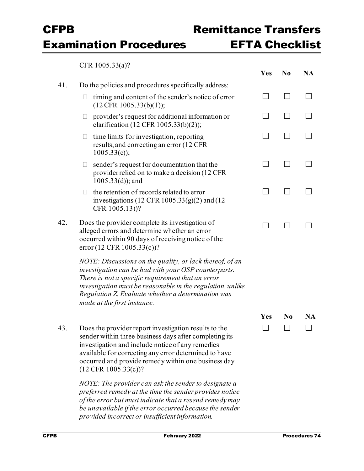### Remittance Transfer EFTA Checklist

 $CFP 1005.33(a)2$ 

|     | CI'IN'100J.JJ(a).                                                                                                                                                                                                                                                                                                        | Yes | N <sub>0</sub> | <b>NA</b> |
|-----|--------------------------------------------------------------------------------------------------------------------------------------------------------------------------------------------------------------------------------------------------------------------------------------------------------------------------|-----|----------------|-----------|
| 41. | Do the policies and procedures specifically address:                                                                                                                                                                                                                                                                     |     |                |           |
|     | timing and content of the sender's notice of error<br>$\Box$<br>$(12 \text{CFR } 1005.33(b)(1));$                                                                                                                                                                                                                        |     | a a            |           |
|     | provider's request for additional information or<br>$\Box$<br>clarification (12 CFR $1005.33(b)(2)$ );                                                                                                                                                                                                                   |     |                |           |
|     | time limits for investigation, reporting<br>$\Box$<br>results, and correcting an error (12 CFR)<br>$1005.33(c)$ ;                                                                                                                                                                                                        |     |                |           |
|     | sender's request for documentation that the<br>$\Box$<br>provider relied on to make a decision (12 CFR)<br>$1005.33(d)$ ; and                                                                                                                                                                                            |     |                |           |
|     | the retention of records related to error<br>П.<br>investigations (12 CFR $1005.33(g)(2)$ and (12<br>CFR 1005.13))?                                                                                                                                                                                                      |     |                |           |
| 42. | Does the provider complete its investigation of<br>alleged errors and determine whether an error<br>occurred within 90 days of receiving notice of the<br>error (12 CFR 1005.33(c))?                                                                                                                                     |     |                |           |
|     | NOTE: Discussions on the quality, or lack thereof, of an<br>investigation can be had with your OSP counterparts.<br>There is not a specific requirement that an error<br>investigation must be reasonable in the regulation, unlike<br>Regulation Z. Evaluate whether a determination was<br>made at the first instance. |     |                |           |
|     |                                                                                                                                                                                                                                                                                                                          | Yes | N <sub>0</sub> | <b>NA</b> |
| 43. | Does the provider report investigation results to the<br>sender within three business days after completing its<br>investigation and include notice of any remedies<br>available for correcting any error determined to have<br>occurred and provide remedy within one business day<br>$(12 \text{ CFR } 1005.33(c))$ ?  |     |                |           |
|     | NOTE: The provider can ask the sender to designate a<br>preferred remedy at the time the sender provides notice<br>of the error but must indicate that a resend remedy may<br>be unavailable if the error occurred because the sender<br>provided incorrect or insufficient information.                                 |     |                |           |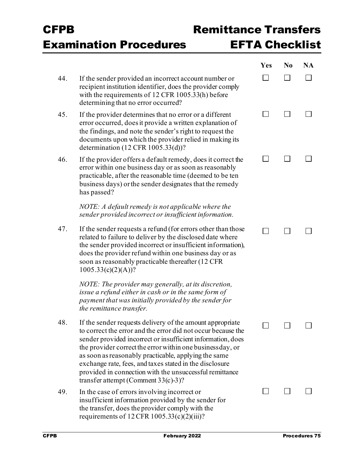### Remittance Transfer EFTA Checklist

|     |                                                                                                                                                                                                                                                                                                                                                                                                                                                                               | <b>Yes</b> | N <sub>0</sub> | <b>NA</b> |
|-----|-------------------------------------------------------------------------------------------------------------------------------------------------------------------------------------------------------------------------------------------------------------------------------------------------------------------------------------------------------------------------------------------------------------------------------------------------------------------------------|------------|----------------|-----------|
| 44. | If the sender provided an incorrect account number or<br>recipient institution identifier, does the provider comply<br>with the requirements of 12 CFR 1005.33(h) before<br>determining that no error occurred?                                                                                                                                                                                                                                                               |            |                |           |
| 45. | If the provider determines that no error or a different<br>error occurred, does it provide a written explanation of<br>the findings, and note the sender's right to request the<br>documents upon which the provider relied in making its<br>determination $(12 \text{ CFR } 1005.33 \text{ (d)})$ ?                                                                                                                                                                          |            |                |           |
| 46. | If the provider offers a default remedy, does it correct the<br>error within one business day or as soon as reasonably<br>practicable, after the reasonable time (deemed to be ten<br>business days) or the sender designates that the remedy<br>has passed?                                                                                                                                                                                                                  |            |                |           |
|     | NOTE: A default remedy is not applicable where the<br>sender provided incorrect or insufficient information.                                                                                                                                                                                                                                                                                                                                                                  |            |                |           |
| 47. | If the sender requests a refund (for errors other than those<br>related to failure to deliver by the disclosed date where<br>the sender provided incorrect or insufficient information),<br>does the provider refund within one business day or as<br>soon as reasonably practicable thereafter (12 CFR<br>$1005.33(c)(2)(A))$ ?                                                                                                                                              |            |                |           |
|     | NOTE: The provider may generally, at its discretion,<br>issue a refund either in cash or in the same form of<br>payment that was initially provided by the sender for<br>the remittance transfer.                                                                                                                                                                                                                                                                             |            |                |           |
| 48. | If the sender requests delivery of the amount appropriate<br>to correct the error and the error did not occur because the<br>sender provided incorrect or insufficient information, does<br>the provider correct the error within one businessday, or<br>as soon as reasonably practicable, applying the same<br>exchange rate, fees, and taxes stated in the disclosure<br>provided in connection with the unsuccessful remittance<br>transfer attempt (Comment $33(c)-3$ )? |            |                |           |
| 49. | In the case of errors involving incorrect or<br>insufficient information provided by the sender for<br>the transfer, does the provider comply with the<br>requirements of 12 CFR $1005.33(c)(2)(iii)$ ?                                                                                                                                                                                                                                                                       |            |                |           |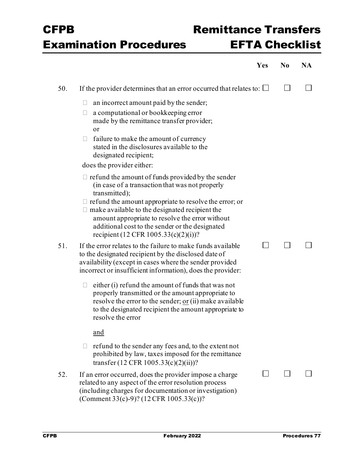# Remittance Transfer EFTA Checklist

|     |                                                                                                                                                                                                                                                                      | Yes | N <sub>0</sub> | <b>NA</b> |
|-----|----------------------------------------------------------------------------------------------------------------------------------------------------------------------------------------------------------------------------------------------------------------------|-----|----------------|-----------|
| 50. | If the provider determines that an error occurred that relates to: $\Box$                                                                                                                                                                                            |     | $\blacksquare$ |           |
|     | an incorrect amount paid by the sender;<br>$\Box$                                                                                                                                                                                                                    |     |                |           |
|     | a computational or bookkeeping error<br>$\Box$<br>made by the remittance transfer provider;<br><b>or</b>                                                                                                                                                             |     |                |           |
|     | failure to make the amount of currency<br>$\Box$<br>stated in the disclosures available to the<br>designated recipient;                                                                                                                                              |     |                |           |
|     | does the provider either:                                                                                                                                                                                                                                            |     |                |           |
|     | $\Box$ refund the amount of funds provided by the sender<br>(in case of a transaction that was not properly<br>transmitted);                                                                                                                                         |     |                |           |
|     | $\Box$ refund the amount appropriate to resolve the error; or<br>$\Box$ make available to the designated recipient the<br>amount appropriate to resolve the error without<br>additional cost to the sender or the designated<br>recipient (12 CFR 1005.33(c)(2)(i))? |     |                |           |
| 51. | If the error relates to the failure to make funds available<br>to the designated recipient by the disclosed date of<br>availability (except in cases where the sender provided<br>incorrect or insufficient information), does the provider:                         |     |                |           |
|     | either (i) refund the amount of funds that was not<br>$\Box$<br>properly transmitted or the amount appropriate to<br>resolve the error to the sender; $or (ii)$ make available<br>to the designated recipient the amount appropriate to<br>resolve the error         |     |                |           |
|     | and                                                                                                                                                                                                                                                                  |     |                |           |
|     | refund to the sender any fees and, to the extent not<br>$\Box$<br>prohibited by law, taxes imposed for the remittance<br>transfer $(12 \text{ CFR } 1005.33(c)(2)(ii))$ ?                                                                                            |     |                |           |
| 52. | If an error occurred, does the provider impose a charge<br>related to any aspect of the error resolution process<br>(including charges for documentation or investigation)<br>(Comment 33(c)-9)? (12 CFR 1005.33(c))?                                                |     |                |           |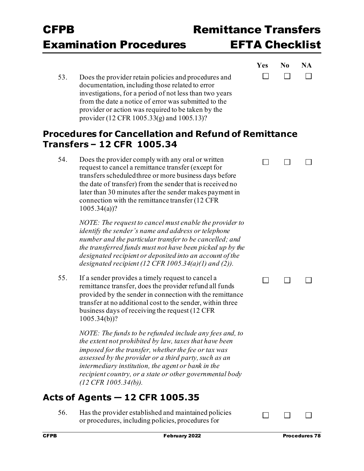$\Box$ 

 $\Box$ 

**Yes No NA**

 $\Box$ 

 $\Box$ 

 $\Box$ 

 $\Box$ 

53. Does the provider retain policies and procedures and documentation, including those related to error investigations, for a period of not less than two years from the date a notice of error was submitted to the provider or action was required to be taken by the provider (12 CFR 1005.33(g) and 1005.13)?

#### **Procedures for Cancellation and Refund of Remittance Transfers – 12 CFR 1005.34**

54. Does the provider comply with any oral or written request to cancel a remittance transfer (except for transfers scheduledthree or more business days before the date of transfer) from the sender that is received no later than 30 minutes after the sender makes payment in connection with the remittance transfer (12 CFR 1005.34(a))?

> *NOTE: The request to cancel must enable the provider to identify the sender's name and address or telephone number and the particular transfer to be cancelled; and the transferred funds must not have been picked up by the designated recipient or deposited into an account of the designated recipient (12 CFR 1005.34(a)(1) and (2)).*

55. If a sender provides a timely request to cancel a remittance transfer, does the provider refund all funds provided by the sender in connection with the remittance transfer at no additional cost to the sender, within three business days of receiving the request (12 CFR 1005.34(b))?

> *NOTE: The funds to be refunded include any fees and, to the extent not prohibited by law, taxes that have been imposed for the transfer, whether the fee or tax was assessed by the provider or a third party, such as an intermediary institution, the agent or bank in the recipient country, or a state or other governmental body (12 CFR 1005.34(b)).*

### **Acts of Agents — 12 CFR 1005.35**

56. Has the provider established and maintained policies or procedures, including policies, procedures for

 $\Box$ 

 $\Box$  $\Box$  $\Box$ 

 $\Box$ 

 $\Box$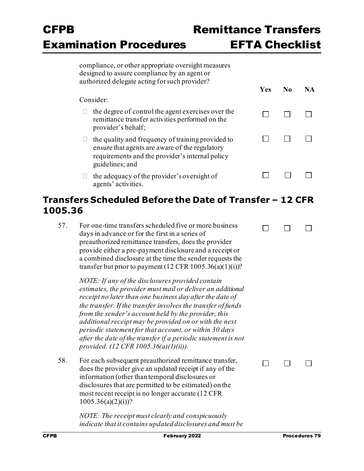$\Box$ 

П

 $\Box$ 

 $\Box$ 

 $\Box$ 

 $\Box$ 

 **Yes No NA**

 $\Box$ 

 $\Box$ 

 $\Box$ 

П

 $\Box$ 

 $\Box$ 

 $\Box$ 

 $\Box$ 

| compliance, or other appropriate oversight measures |
|-----------------------------------------------------|
| designed to assure compliance by an agent or        |
| authorized delegate acting for such provider?       |

#### Consider:

- $\Box$  the degree of control the agent exercises over the remittance transfer activities performed on the provider's behalf;
- $\Box$  the quality and frequency of training provided to ensure that agents are aware of the regulatory requirements and the provider's internal policy guidelines; and
- $\Box$  the adequacy of the provider's oversight of agents' activities.

#### **Transfers Scheduled Before the Date of Transfer – 12 CFR 1005.36**

57. For one-time transfers scheduled five or more business days in advance or for the first in a series of preauthorized remittance transfers, does the provider provide either a pre-payment disclosure and a receipt or a combined disclosure at the time the sender requests the transfer but prior to payment  $(12 \text{ CFR } 1005.36(a)(1)(i))$ ?

> *NOTE: If any of the disclosures provided contain estimates, the provider must mail or deliver an additional receipt no later than one business day after the date of the transfer. If the transfer involves the transfer of funds from the sender's account held by the provider, this additional receipt may be provided on or with the next periodic statement for that account, or within 30 days after the date of the transfer if a periodic statement is not provided. (12 CFR 1005.36(a)(1)(ii)).*

58. For each subsequent preauthorized remittance transfer, does the provider give an updated receipt if any of the information (other than temporal disclosures or disclosures that are permitted to be estimated) on the most recent receipt is no longer accurate (12 CFR  $1005.36(a)(2)(i)$ ?

> *NOTE: The receipt must clearly and conspicuously indicate that it contains updated disclosures and must be*

 $\Box$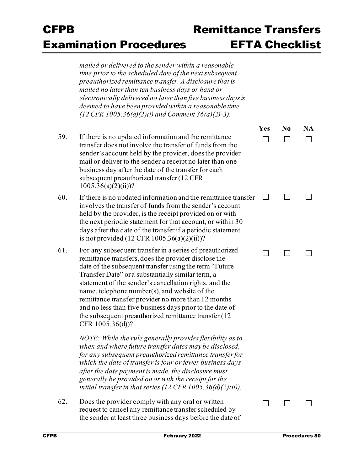### Remittance Transfer EFTA Checklist

|     | mailed or delivered to the sender within a reasonable<br>time prior to the scheduled date of the next subsequent<br>preauthorized remittance transfer. A disclosure that is<br>mailed no later than ten business days or hand or<br>electronically delivered no later than five business days is<br>deemed to have been provided within a reasonable time<br>$(12 \text{ CFR } 1005.36(a)(2)(i)$ and Comment 36(a)(2)-3).                                                                                                                   |     |                |    |
|-----|---------------------------------------------------------------------------------------------------------------------------------------------------------------------------------------------------------------------------------------------------------------------------------------------------------------------------------------------------------------------------------------------------------------------------------------------------------------------------------------------------------------------------------------------|-----|----------------|----|
|     |                                                                                                                                                                                                                                                                                                                                                                                                                                                                                                                                             | Yes | N <sub>0</sub> | NA |
| 59. | If there is no updated information and the remittance<br>transfer does not involve the transfer of funds from the<br>sender's account held by the provider, does the provider<br>mail or deliver to the sender a receipt no later than one<br>business day after the date of the transfer for each<br>subsequent preauthorized transfer (12 CFR<br>$1005.36(a)(2)(ii))$ ?                                                                                                                                                                   |     |                |    |
| 60. | If there is no updated information and the remittance transfer<br>involves the transfer of funds from the sender's account<br>held by the provider, is the receipt provided on or with<br>the next periodic statement for that account, or within 30<br>days after the date of the transfer if a periodic statement<br>is not provided $(12 \text{ CFR } 1005.36(a)(2)(ii))$ ?                                                                                                                                                              |     |                |    |
| 61. | For any subsequent transfer in a series of preauthorized<br>remittance transfers, does the provider disclose the<br>date of the subsequent transfer using the term "Future"<br>Transfer Date" or a substantially similar term, a<br>statement of the sender's cancellation rights, and the<br>name, telephone number(s), and website of the<br>remittance transfer provider no more than 12 months<br>and no less than five business days prior to the date of<br>the subsequent preauthorized remittance transfer (12)<br>CFR 1005.36(d))? |     |                |    |
|     | NOTE: While the rule generally provides flexibility as to<br>when and where future transfer dates may be disclosed,<br>for any subsequent preauthorized remittance transfer for<br>which the date of transfer is four or fewer business days<br>after the date payment is made, the disclosure must<br>generally be provided on or with the receipt for the<br>initial transfer in that series (12 CFR 1005.36(d)(2)(ii)).                                                                                                                  |     |                |    |
| 62. | Does the provider comply with any oral or written<br>request to cancel any remittance transfer scheduled by<br>the sender at least three business days before the date of                                                                                                                                                                                                                                                                                                                                                                   |     |                |    |